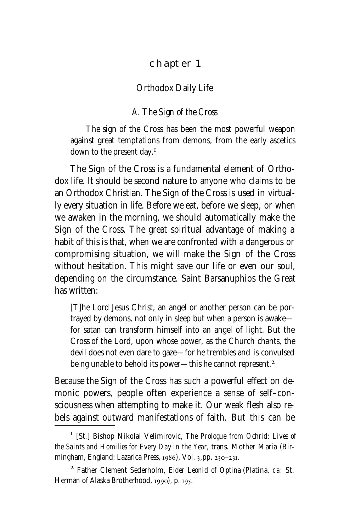### CHAPTER 1

#### Orthodox Daily Life

## *A. The Sign of the Cross*

The sign of the Cross has been the most powerful weapon against great temptations from demons, from the early ascetics down to the present day.

The Sign of the Cross is a fundamental element of Orthodox life. It should be second nature to anyone who claims to be an Orthodox Christian. The Sign of the Cross is used in virtually every situation in life. Before we eat, before we sleep, or when we awaken in the morning, we should automatically make the Sign of the Cross. The great spiritual advantage of making a habit of this is that, when we are confronted with a dangerous or compromising situation, we will make the Sign of the Cross without hesitation. This might save our life or even our soul, depending on the circumstance. Saint Barsanuphios the Great has written:

[T]he Lord Jesus Christ, an angel or another person can be portrayed by demons, not only in sleep but when a person is awake for satan can transform himself into an angel of light. But the Cross of the Lord, upon whose power, as the Church chants, the devil does not even dare to gaze—for he trembles and is convulsed being unable to behold its power—this he cannot represent.

Because the Sign of the Cross has such a powerful effect on demonic powers, people often experience a sense of self–consciousness when attempting to make it. Our weak flesh also rebels against outward manifestations of faith. But this can be

 [St.] Bishop Nikolai Velimirovic, *The Prologue from Ochrid: Lives of the Saints and Homilies for Every Day in the Year,* trans. Mother Maria (Birmingham, England: Lazarica Press, 1986), Vol. 3, pp. 230-231.

Father Clement Sederholm, *Elder Leonid of Optina* (Platina, ca: St. Herman of Alaska Brotherhood, 1990), p. 195.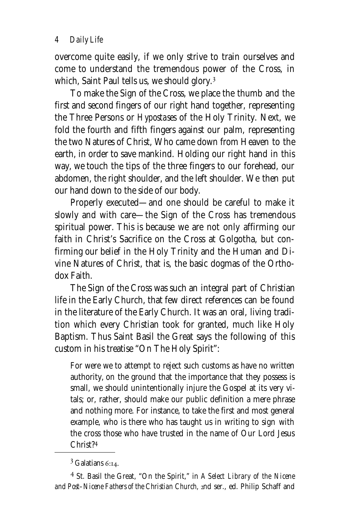overcome quite easily, if we only strive to train ourselves and come to understand the tremendous power of the Cross, in which, Saint Paul tells us, we should glory.<sup>3</sup>

To make the Sign of the Cross, we place the thumb and the first and second fingers of our right hand together, representing the Three Persons or *Hypostases* of the Holy Trinity. Next, we fold the fourth and fifth fingers against our palm, representing the two Natures of Christ, Who came down from Heaven to the earth, in order to save mankind. Holding our right hand in this way, we touch the tips of the three fingers to our forehead, our abdomen, the right shoulder, and the left shoulder. We then put our hand down to the side of our body.

Properly executed—and one should be careful to make it slowly and with care—the Sign of the Cross has tremendous spiritual power. This is because we are not only affirming our faith in Christ's Sacrifice on the Cross at Golgotha, but confirming our belief in the Holy Trinity and the Human and Divine Natures of Christ, that is, the basic dogmas of the Orthodox Faith.

The Sign of the Cross was such an integral part of Christian life in the Early Church, that few direct references can be found in the literature of the Early Church. It was an oral, living tradition which every Christian took for granted, much like Holy Baptism. Thus Saint Basil the Great says the following of this custom in his treatise "On The Holy Spirit":

For were we to attempt to reject such customs as have no written authority, on the ground that the importance that they possess is small, we should unintentionally injure the Gospel at its very vitals; or, rather, should make our public definition a mere phrase and nothing more. For instance, to take the first and most general example, who is there who has taught us in writing to sign with the cross those who have trusted in the name of Our Lord Jesus Christ?

 $3$  Galatians 6:14.

<sup>&</sup>lt;sup>4</sup> St. Basil the Great, "On the Spirit," in *A Select Library of the Nicene* and Post-Nicene Fathers of the Christian Church, 2nd ser., ed. Philip Schaff and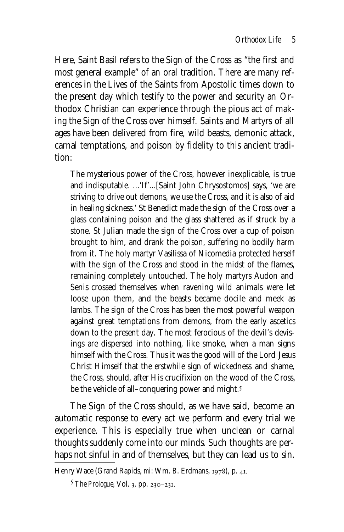Here, Saint Basil refers to the Sign of the Cross as "the first and most general example" of an oral tradition. There are many references in the Lives of the Saints from Apostolic times down to the present day which testify to the power and security an Orthodox Christian can experience through the pious act of making the Sign of the Cross over himself. Saints and Martyrs of all ages have been delivered from fire, wild beasts, demonic attack, carnal temptations, and poison by fidelity to this ancient tradition:

The mysterious power of the Cross, however inexplicable, is true and indisputable. ...'If'...[Saint John Chrysostomos] says, 'we are striving to drive out demons, we use the Cross, and it is also of aid in healing sickness.' St Benedict made the sign of the Cross over a glass containing poison and the glass shattered as if struck by a stone. St Julian made the sign of the Cross over a cup of poison brought to him, and drank the poison, suffering no bodily harm from it. The holy martyr Vasilissa of Nicomedia protected herself with the sign of the Cross and stood in the midst of the flames, remaining completely untouched. The holy martyrs Audon and Senis crossed themselves when ravening wild animals were let loose upon them, and the beasts became docile and meek as lambs. The sign of the Cross has been the most powerful weapon against great temptations from demons, from the early ascetics down to the present day. The most ferocious of the devil's devisings are dispersed into nothing, like smoke, when a man signs himself with the Cross. Thus it was the good will of the Lord Jesus Christ Himself that the erstwhile sign of wickedness and shame, the Cross, should, after His crucifixion on the wood of the Cross, be the vehicle of all–conquering power and might.

The Sign of the Cross should, as we have said, become an automatic response to every act we perform and every trial we experience. This is especially true when unclean or carnal thoughts suddenly come into our minds. Such thoughts are perhaps not sinful in and of themselves, but they can lead us to sin.

Henry Wace (Grand Rapids, mi: Wm. B. Erdmans, 1978), p. 41.

<sup>&</sup>lt;sup>5</sup> *The Prologue*, Vol. 3, pp. 230-231.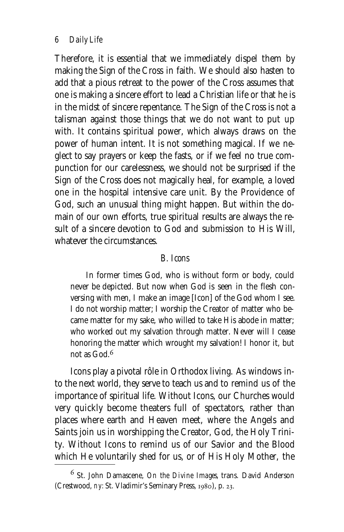*6 Daily Life*

Therefore, it is essential that we immediately dispel them by making the Sign of the Cross in faith. We should also hasten to add that a pious retreat to the power of the Cross assumes that one is making a sincere effort to lead a Christian life or that he is in the midst of sincere repentance. The Sign of the Cross is not a talisman against those things that we do not want to put up with. It contains spiritual power, which always draws on the power of human intent. It is not something magical. If we neglect to say prayers or keep the fasts, or if we feel no true compunction for our carelessness, we should not be surprised if the Sign of the Cross does not magically heal, for example, a loved one in the hospital intensive care unit. By the Providence of God, such an unusual thing might happen. But within the domain of our own efforts, true spiritual results are always the result of a sincere devotion to God and submission to His Will, whatever the circumstances.

### *B. Icons*

In former times God, who is without form or body, could never be depicted. But now when God is seen in the flesh conversing with men, I make an image [Icon] of the God whom I see. I do not worship matter; I worship the Creator of matter who became matter for my sake, who willed to take His abode in matter; who worked out my salvation through matter. Never will I cease honoring the matter which wrought my salvation! I honor it, but not as God.

Icons play a pivotal rôle in Orthodox living. As windows into the next world, they serve to teach us and to remind us of the importance of spiritual life. Without Icons, our Churches would very quickly become theaters full of spectators, rather than places where earth and Heaven meet, where the Angels and Saints join us in worshipping the Creator, God, the Holy Trinity. Without Icons to remind us of our Savior and the Blood which He voluntarily shed for us, or of His Holy Mother, the

<sup>&</sup>lt;sup>6</sup> St. John Damascene, *On the Divine Images*, trans. David Anderson (Crestwood, ny: St. Vladimir's Seminary Press, 1980), p. 23.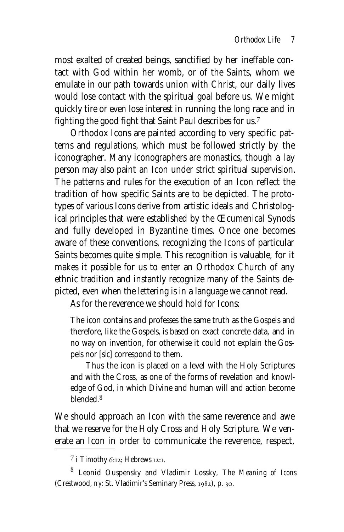most exalted of created beings, sanctified by her ineffable contact with God within her womb, or of the Saints, whom we emulate in our path towards union with Christ, our daily lives would lose contact with the spiritual goal before us. We might quickly tire or even lose interest in running the long race and in fighting the good fight that Saint Paul describes for us.

Orthodox Icons are painted according to very specific patterns and regulations, which must be followed strictly by the iconographer. Many iconographers are monastics, though a lay person may also paint an Icon under strict spiritual supervision. The patterns and rules for the execution of an Icon reflect the tradition of how specific Saints are to be depicted. The prototypes of various Icons derive from artistic ideals and Christological principles that were established by the Œcumenical Synods and fully developed in Byzantine times. Once one becomes aware of these conventions, recognizing the Icons of particular Saints becomes quite simple. This recognition is valuable, for it makes it possible for us to enter an Orthodox Church of any ethnic tradition and instantly recognize many of the Saints depicted, even when the lettering is in a language we cannot read.

As for the reverence we should hold for Icons:

The icon contains and professes the same truth as the Gospels and therefore, like the Gospels, is based on exact concrete data, and in no way on invention, for otherwise it could not explain the Gospels nor [*sic*] correspond to them.

Thus the icon is placed on a level with the Holy Scriptures and with the Cross, as one of the forms of revelation and knowledge of God, in which Divine and human will and action become blended.

We should approach an Icon with the same reverence and awe that we reserve for the Holy Cross and Holy Scripture. We venerate an Icon in order to communicate the reverence, respect,

 $\frac{7}{1}$  Timothy 6:12; Hebrews 12:1.

Leonid Ouspensky and Vladimir Lossky, *The Meaning of Icons* (Crestwood, ny: St. Vladimir's Seminary Press, 1982), p. 30.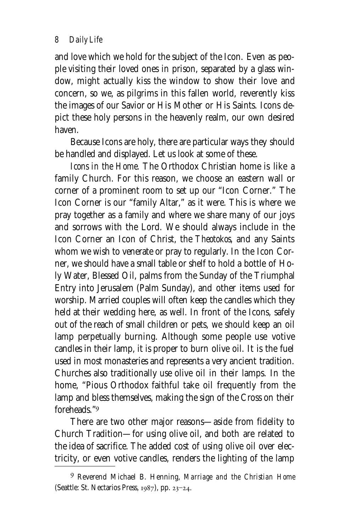and love which we hold for the subject of the Icon. Even as people visiting their loved ones in prison, separated by a glass window, might actually kiss the window to show their love and concern, so we, as pilgrims in this fallen world, reverently kiss the images of our Savior or His Mother or His Saints. Icons depict these holy persons in the heavenly realm, our own desired haven.

Because Icons are holy, there are particular ways they should be handled and displayed. Let us look at some of these.

*Icons in the Home.* The Orthodox Christian home is like a family Church. For this reason, we choose an eastern wall or corner of a prominent room to set up our "Icon Corner." The Icon Corner is our "family Altar," as it were. This is where we pray together as a family and where we share many of our joys and sorrows with the Lord. We should always include in the Icon Corner an Icon of Christ, the *Theotokos,* and any Saints whom we wish to venerate or pray to regularly. In the Icon Corner, we should have a small table or shelf to hold a bottle of Holy Water, Blessed Oil, palms from the Sunday of the Triumphal Entry into Jerusalem (Palm Sunday), and other items used for worship. Married couples will often keep the candles which they held at their wedding here, as well. In front of the Icons, safely out of the reach of small children or pets, we should keep an oil lamp perpetually burning. Although some people use votive candles in their lamp, it is proper to burn olive oil. It is the fuel used in most monasteries and represents a very ancient tradition. Churches also traditionally use olive oil in their lamps. In the home, "Pious Orthodox faithful take oil frequently from the lamp and bless themselves, making the sign of the Cross on their foreheads."

There are two other major reasons—aside from fidelity to Church Tradition—for using olive oil, and both are related to the idea of sacrifice. The added cost of using olive oil over electricity, or even votive candles, renders the lighting of the lamp

Reverend Michael B. Henning, *Marriage and the Christian Home* (Seattle: St. Nectarios Press, 1987), pp. 23-24.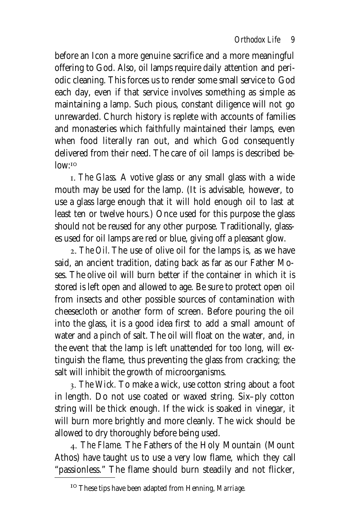before an Icon a more genuine sacrifice and a more meaningful offering to God. Also, oil lamps require daily attention and periodic cleaning. This forces us to render some small service to God each day, even if that service involves something as simple as maintaining a lamp. Such pious, constant diligence will not go unrewarded. Church history is replete with accounts of families and monasteries which faithfully maintained their lamps, even when food literally ran out, and which God consequently delivered from their need. The care of oil lamps is described be $low: ^{IO}$ 

. *The Glass.* A votive glass or any small glass with a wide mouth may be used for the lamp. (It is advisable, however, to use a glass large enough that it will hold enough oil to last at least ten or twelve hours.) Once used for this purpose the glass should not be reused for any other purpose. Traditionally, glasses used for oil lamps are red or blue, giving off a pleasant glow.

. *The Oil.* The use of olive oil for the lamps is, as we have said, an ancient tradition, dating back as far as our Father Moses. The olive oil will burn better if the container in which it is stored is left open and allowed to age. Be sure to protect open oil from insects and other possible sources of contamination with cheesecloth or another form of screen. Before pouring the oil into the glass, it is a good idea first to add a small amount of water and a pinch of salt. The oil will float on the water, and, in the event that the lamp is left unattended for too long, will extinguish the flame, thus preventing the glass from cracking; the salt will inhibit the growth of microorganisms.

. *The Wick.* To make a wick, use cotton string about a foot in length. Do not use coated or waxed string. Six–ply cotton string will be thick enough. If the wick is soaked in vinegar, it will burn more brightly and more cleanly. The wick should be allowed to dry thoroughly before being used.

. *The Flame.* The Fathers of the Holy Mountain (Mount Athos) have taught us to use a very low flame, which they call "passionless." The flame should burn steadily and not flicker,

These tips have been adapted from Henning, *Marriage.*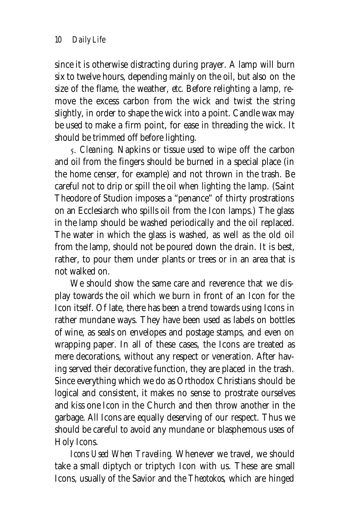since it is otherwise distracting during prayer. A lamp will burn six to twelve hours, depending mainly on the oil, but also on the size of the flame, the weather, *etc.* Before relighting a lamp, remove the excess carbon from the wick and twist the string slightly, in order to shape the wick into a point. Candle wax may be used to make a firm point, for ease in threading the wick. It should be trimmed off before lighting.

. *Cleaning.* Napkins or tissue used to wipe off the carbon and oil from the fingers should be burned in a special place (in the home censer, for example) and not thrown in the trash. Be careful not to drip or spill the oil when lighting the lamp. (Saint Theodore of Studion imposes a "penance" of thirty prostrations on an Ecclesiarch who spills oil from the Icon lamps.) The glass in the lamp should be washed periodically and the oil replaced. The water in which the glass is washed, as well as the old oil from the lamp, should not be poured down the drain. It is best, rather, to pour them under plants or trees or in an area that is not walked on.

We should show the same care and reverence that we display towards the oil which we burn in front of an Icon for the Icon itself. Of late, there has been a trend towards using Icons in rather mundane ways. They have been used as labels on bottles of wine, as seals on envelopes and postage stamps, and even on wrapping paper. In all of these cases, the Icons are treated as mere decorations, without any respect or veneration. After having served their decorative function, they are placed in the trash. Since everything which we do as Orthodox Christians should be logical and consistent, it makes no sense to prostrate ourselves and kiss one Icon in the Church and then throw another in the garbage. All Icons are equally deserving of our respect. Thus we should be careful to avoid any mundane or blasphemous uses of Holy Icons.

*Icons Used When Traveling.* Whenever we travel, we should take a small diptych or triptych Icon with us. These are small Icons, usually of the Savior and the *Theotokos,* which are hinged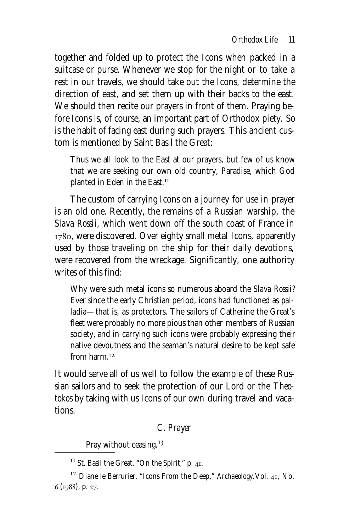together and folded up to protect the Icons when packed in a suitcase or purse. Whenever we stop for the night or to take a rest in our travels, we should take out the Icons, determine the direction of east, and set them up with their backs to the east. We should then recite our prayers in front of them. Praying before Icons is, of course, an important part of Orthodox piety. So is the habit of facing east during such prayers. This ancient custom is mentioned by Saint Basil the Great:

Thus we all look to the East at our prayers, but few of us know that we are seeking our own old country, Paradise, which God planted in Eden in the East.

The custom of carrying Icons on a journey for use in prayer is an old one. Recently, the remains of a Russian warship, the *Slava Rossii,* which went down off the south coast of France in 1780, were discovered. Over eighty small metal Icons, apparently used by those traveling on the ship for their daily devotions, were recovered from the wreckage. Significantly, one authority writes of this find:

Why were such metal icons so numerous aboard the *Slava Rossii?* Ever since the early Christian period, icons had functioned as *palladia*—that is, as protectors. The sailors of Catherine the Great's fleet were probably no more pious than other members of Russian society, and in carrying such icons were probably expressing their native devoutness and the seaman's natural desire to be kept safe from harm <sup>12</sup>

It would serve all of us well to follow the example of these Russian sailors and to seek the protection of our Lord or the *Theotokos* by taking with us Icons of our own during travel and vacations.

# *C. Prayer*

Pray without ceasing.<sup>13</sup>

 $^{II}$  St. Basil the Great, "On the Spirit," p. 41.

<sup>&</sup>lt;sup>12</sup> Diane le Berrurier, "Icons From the Deep," Archaeology, Vol. 41, No. 6 (1988), p. 27.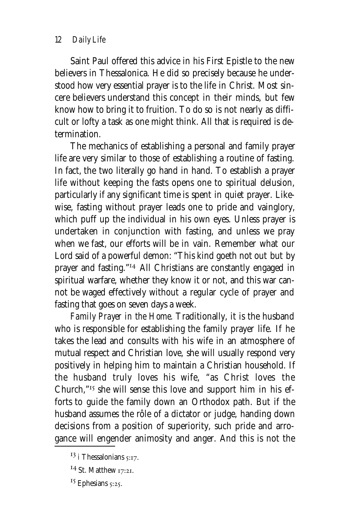### *12 Daily Life*

Saint Paul offered this advice in his First Epistle to the new believers in Thessalonica. He did so precisely because he understood how very essential prayer is to the life in Christ. Most sincere believers understand this concept in their minds, but few know how to bring it to fruition. To do so is not nearly as difficult or lofty a task as one might think. All that is required is determination.

The mechanics of establishing a personal and family prayer life are very similar to those of establishing a routine of fasting. In fact, the two literally go hand in hand. To establish a prayer life without keeping the fasts opens one to spiritual delusion, particularly if any significant time is spent in quiet prayer. Likewise, fasting without prayer leads one to pride and vainglory, which puff up the individual in his own eyes. Unless prayer is undertaken in conjunction with fasting, and unless we pray when we fast, our efforts will be in vain. Remember what our Lord said of a powerful demon: "This kind goeth not out but by prayer and fasting."<sup>14</sup> All Christians are constantly engaged in spiritual warfare, whether they know it or not, and this war cannot be waged effectively without a regular cycle of prayer and fasting that goes on seven days a week.

*Family Prayer in the Home.* Traditionally, it is the husband who is responsible for establishing the family prayer life. If he takes the lead and consults with his wife in an atmosphere of mutual respect and Christian love, she will usually respond very positively in helping him to maintain a Christian household. If the husband truly loves his wife, "as Christ loves the Church,"<sup>15</sup> she will sense this love and support him in his efforts to guide the family down an Orthodox path. But if the husband assumes the rôle of a dictator or judge, handing down decisions from a position of superiority, such pride and arrogance will engender animosity and anger. And this is not the

 $^{13}$  i Thessalonians  $5:17$ .

 $^{14}$  St. Matthew 17:21.

 $15$  Ephesians  $5:25$ .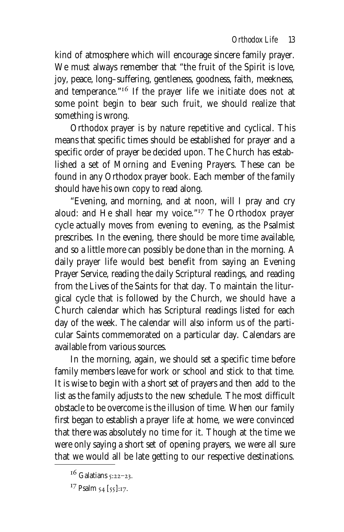kind of atmosphere which will encourage sincere family prayer. We must always remember that "the fruit of the Spirit is love, joy, peace, long–suffering, gentleness, goodness, faith, meekness, and temperance."<sup>16</sup> If the prayer life we initiate does not at some point begin to bear such fruit, we should realize that something is wrong.

Orthodox prayer is by nature repetitive and cyclical. This means that specific times should be established for prayer and a specific order of prayer be decided upon. The Church has established a set of Morning and Evening Prayers. These can be found in any Orthodox prayer book. Each member of the family should have his own copy to read along.

"Evening, and morning, and at noon, will I pray and cry aloud: and He shall hear my voice."<sup>17</sup> The Orthodox prayer cycle actually moves from evening to evening, as the Psalmist prescribes. In the evening, there should be more time available, and so a little more can possibly be done than in the morning. A daily prayer life would best benefit from saying an Evening Prayer Service, reading the daily Scriptural readings, and reading from the Lives of the Saints for that day. To maintain the liturgical cycle that is followed by the Church, we should have a Church calendar which has Scriptural readings listed for each day of the week. The calendar will also inform us of the particular Saints commemorated on a particular day. Calendars are available from various sources.

In the morning, again, we should set a specific time before family members leave for work or school and stick to that time. It is wise to begin with a short set of prayers and then add to the list as the family adjusts to the new schedule. The most difficult obstacle to be overcome is the illusion of time. When our family first began to establish a prayer life at home, we were convinced that there was absolutely no time for it. Though at the time we were only saying a short set of opening prayers, we were all sure that we would all be late getting to our respective destinations.

 $16$  Galatians  $5:22-23$ .

 $^{17}$  Psalm  $_{54}$  [ $_{55}$ ]:17.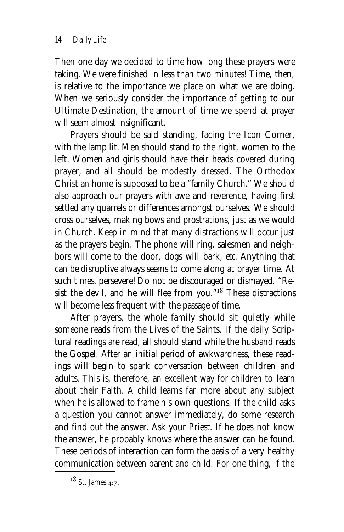Then one day we decided to time how long these prayers were taking. We were finished in less than two minutes! Time, then, is relative to the importance we place on what we are doing. When we seriously consider the importance of getting to our Ultimate Destination, the amount of time we spend at prayer will seem almost insignificant.

Prayers should be said standing, facing the Icon Corner, with the lamp lit. Men should stand to the right, women to the left. Women and girls should have their heads covered during prayer, and all should be modestly dressed. The Orthodox Christian home is supposed to be a "family Church." We should also approach our prayers with awe and reverence, having first settled any quarrels or differences amongst ourselves. We should cross ourselves, making bows and prostrations, just as we would in Church. Keep in mind that many distractions will occur just as the prayers begin. The phone will ring, salesmen and neighbors will come to the door, dogs will bark, *etc.* Anything that can be disruptive always seems to come along at prayer time. At such times, persevere! Do not be discouraged or dismayed. "Resist the devil, and he will flee from you." $18$  These distractions will become less frequent with the passage of time.

After prayers, the whole family should sit quietly while someone reads from the Lives of the Saints. If the daily Scriptural readings are read, all should stand while the husband reads the Gospel. After an initial period of awkwardness, these readings will begin to spark conversation between children and adults. This is, therefore, an excellent way for children to learn about their Faith. A child learns far more about any subject when he is allowed to frame his own questions. If the child asks a question you cannot answer immediately, do some research and find out the answer. Ask your Priest. If he does not know the answer, he probably knows where the answer can be found. These periods of interaction can form the basis of a very healthy communication between parent and child. For one thing, if the

 $18$  St. James 4:7.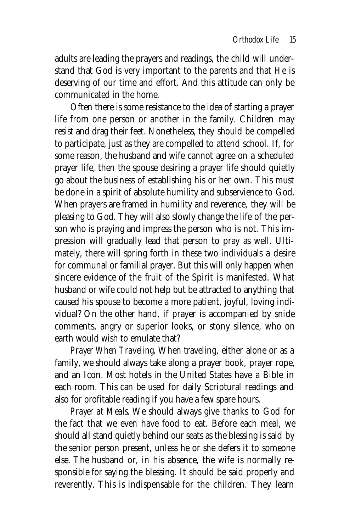adults are leading the prayers and readings, the child will understand that God is very important to the parents and that He is deserving of our time and effort. And this attitude can only be communicated in the home.

Often there is some resistance to the idea of starting a prayer life from one person or another in the family. Children may resist and drag their feet. Nonetheless, they should be compelled to participate, just as they are compelled to attend school. If, for some reason, the husband and wife cannot agree on a scheduled prayer life, then the spouse desiring a prayer life should quietly go about the business of establishing his or her own. This must be done in a spirit of absolute humility and subservience to God. When prayers are framed in humility and reverence, they will be pleasing to God. They will also slowly change the life of the person who is praying and impress the person who is not. This impression will gradually lead that person to pray as well. Ultimately, there will spring forth in these two individuals a desire for communal or familial prayer. But this will only happen when sincere evidence of the fruit of the Spirit is manifested. What husband or wife could not help but be attracted to anything that caused his spouse to become a more patient, joyful, loving individual? On the other hand, if prayer is accompanied by snide comments, angry or superior looks, or stony silence, who on earth would wish to emulate that?

*Prayer When Traveling.* When traveling, either alone or as a family, we should always take along a prayer book, prayer rope, and an Icon. Most hotels in the United States have a Bible in each room. This can be used for daily Scriptural readings and also for profitable reading if you have a few spare hours.

*Prayer at Meals.* We should always give thanks to God for the fact that we even have food to eat. Before each meal, we should all stand quietly behind our seats as the blessing is said by the senior person present, unless he or she defers it to someone else. The husband or, in his absence, the wife is normally responsible for saying the blessing. It should be said properly and reverently. This is indispensable for the children. They learn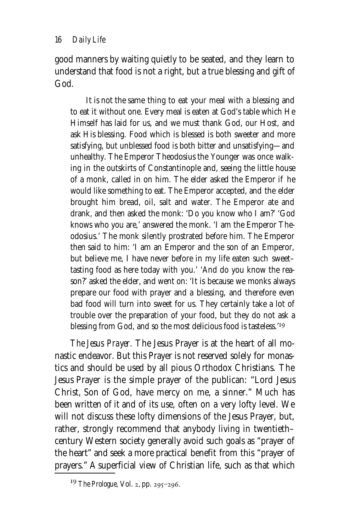good manners by waiting quietly to be seated, and they learn to understand that food is not a right, but a true blessing and gift of God.

It is not the same thing to eat your meal with a blessing and to eat it without one. Every meal is eaten at God's table which He Himself has laid for us, and we must thank God, our Host, and ask His blessing. Food which is blessed is both sweeter and more satisfying, but unblessed food is both bitter and unsatisfying—and unhealthy. The Emperor Theodosius the Younger was once walking in the outskirts of Constantinople and, seeing the little house of a monk, called in on him. The elder asked the Emperor if he would like something to eat. The Emperor accepted, and the elder brought him bread, oil, salt and water. The Emperor ate and drank, and then asked the monk: 'Do you know who I am?' 'God knows who you are,' answered the monk. 'I am the Emperor Theodosius.' The monk silently prostrated before him. The Emperor then said to him: 'I am an Emperor and the son of an Emperor, but believe me, I have never before in my life eaten such sweet– tasting food as here today with you.' 'And do you know the reason?' asked the elder, and went on: 'It is because we monks always prepare our food with prayer and a blessing, and therefore even bad food will turn into sweet for us. They certainly take a lot of trouble over the preparation of your food, but they do not ask a blessing from God, and so the most delicious food is tasteless.'<sup>19</sup>

*The Jesus Prayer.* The Jesus Prayer is at the heart of all monastic endeavor. But this Prayer is not reserved solely for monastics and should be used by all pious Orthodox Christians. The Jesus Prayer is the simple prayer of the publican: "Lord Jesus Christ, Son of God, have mercy on me, a sinner." Much has been written of it and of its use, often on a very lofty level. We will not discuss these lofty dimensions of the Jesus Prayer, but, rather, strongly recommend that anybody living in twentieth– century Western society generally avoid such goals as "prayer of the heart" and seek a more practical benefit from this "prayer of prayers." A superficial view of Christian life, such as that which

<sup>&</sup>lt;sup>19</sup> *The Prologue*, Vol. 2, pp. 295-296.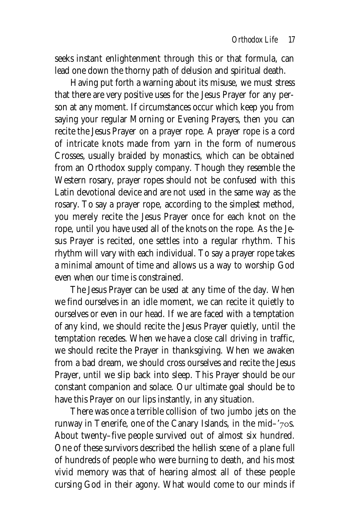seeks instant enlightenment through this or that formula, can lead one down the thorny path of delusion and spiritual death.

Having put forth a warning about its misuse, we must stress that there are very positive uses for the Jesus Prayer for any person at any moment. If circumstances occur which keep you from saying your regular Morning or Evening Prayers, then you can recite the Jesus Prayer on a prayer rope. A prayer rope is a cord of intricate knots made from yarn in the form of numerous Crosses, usually braided by monastics, which can be obtained from an Orthodox supply company. Though they resemble the Western rosary, prayer ropes should not be confused with this Latin devotional device and are not used in the same way as the rosary. To say a prayer rope, according to the simplest method, you merely recite the Jesus Prayer once for each knot on the rope, until you have used all of the knots on the rope. As the Jesus Prayer is recited, one settles into a regular rhythm. This rhythm will vary with each individual. To say a prayer rope takes a minimal amount of time and allows us a way to worship God even when our time is constrained.

The Jesus Prayer can be used at any time of the day. When we find ourselves in an idle moment, we can recite it quietly to ourselves or even in our head. If we are faced with a temptation of any kind, we should recite the Jesus Prayer quietly, until the temptation recedes. When we have a close call driving in traffic, we should recite the Prayer in thanksgiving. When we awaken from a bad dream, we should cross ourselves and recite the Jesus Prayer, until we slip back into sleep. This Prayer should be our constant companion and solace. Our ultimate goal should be to have this Prayer on our lips instantly, in any situation.

There was once a terrible collision of two jumbo jets on the runway in Tenerife, one of the Canary Islands, in the mid- $7$ os. About twenty–five people survived out of almost six hundred. One of these survivors described the hellish scene of a plane full of hundreds of people who were burning to death, and his most vivid memory was that of hearing almost all of these people cursing God in their agony. What would come to our minds if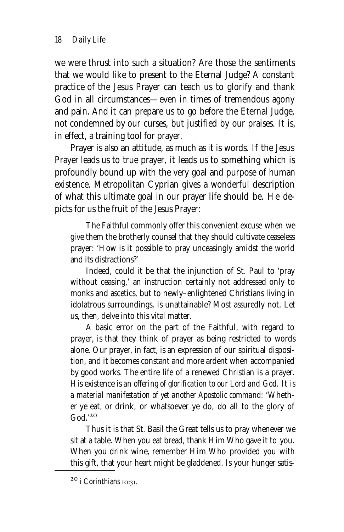we were thrust into such a situation? Are those the sentiments that we would like to present to the Eternal Judge? A constant practice of the Jesus Prayer can teach us to glorify and thank God in all circumstances—even in times of tremendous agony and pain. And it can prepare us to go before the Eternal Judge, not condemned by our curses, but justified by our praises. It is, in effect, a training tool for prayer.

Prayer is also an attitude, as much as it is words. If the Jesus Prayer leads us to true prayer, it leads us to something which is profoundly bound up with the very goal and purpose of human existence. Metropolitan Cyprian gives a wonderful description of what this ultimate goal in our prayer life should be. He depicts for us the fruit of the Jesus Prayer:

The Faithful commonly offer this convenient excuse when we give them the brotherly counsel that they should cultivate ceaseless prayer: 'How is it possible to pray unceasingly amidst the world and its distractions?'

Indeed, could it be that the injunction of St. Paul to 'pray without ceasing,' an instruction certainly not addressed only to monks and ascetics, but to newly–enlightened Christians living in idolatrous surroundings, is unattainable? Most assuredly not. Let us, then, delve into this vital matter.

A basic error on the part of the Faithful, with regard to prayer, is that they think of prayer as being restricted to words alone. Our prayer, in fact, is an expression of our spiritual disposition, and it becomes constant and more ardent when accompanied by good works. The entire life of a renewed Christian is a prayer. His existence *is an offering of glorification to our Lord and God. It is a material manifestation of yet another Apostolic command:* 'Whether ye eat, or drink, or whatsoever ye do, do all to the glory of  $G<sub>od</sub>$ ,  $20$ 

Thus it is that St. Basil the Great tells us to pray whenever we sit at a table. When you eat bread, thank Him Who gave it to you. When you drink wine, remember Him Who provided you with this gift, that your heart might be gladdened. Is your hunger satis-

<sup>20</sup> i Corinthians 10:31.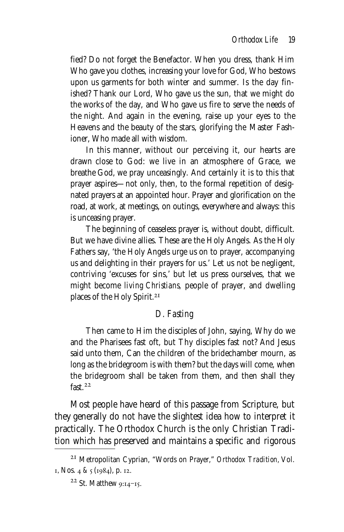fied? Do not forget the Benefactor. When you dress, thank Him Who gave you clothes, increasing your love for God, Who bestows upon us garments for both winter and summer. Is the day finished? Thank our Lord, Who gave us the sun, that we might do the works of the day, and Who gave us fire to serve the needs of the night. And again in the evening, raise up your eyes to the Heavens and the beauty of the stars, glorifying the Master Fashioner, Who made all with wisdom.

In this manner, without our perceiving it, our hearts are drawn close to God: we live in an atmosphere of Grace, we breathe God, we pray unceasingly. And certainly it is to this that prayer aspires—not only, then, to the formal repetition of designated prayers at an appointed hour. Prayer and glorification on the road, at work, at meetings, on outings, everywhere and always: this is unceasing prayer.

The beginning of ceaseless prayer is, without doubt, difficult. But we have divine allies. These are the Holy Angels. As the Holy Fathers say, 'the Holy Angels urge us on to prayer, accompanying us and delighting in their prayers for us.' Let us not be negligent, contriving 'excuses for sins,' but let us press ourselves, that we might become *living Christians,* people of prayer, and dwelling places of the Holy Spirit.

# *D. Fasting*

Then came to Him the disciples of John, saying, Why do we and the Pharisees fast oft, but Thy disciples fast not? And Jesus said unto them, Can the children of the bridechamber mourn, as long as the bridegroom is with them? but the days will come, when the bridegroom shall be taken from them, and then shall they fast.<sup>22</sup>

Most people have heard of this passage from Scripture, but they generally do not have the slightest idea how to interpret it practically. The Orthodox Church is the only Christian Tradition which has preserved and maintains a specific and rigorous

Metropolitan Cyprian, "Words on Prayer," *Orthodox Tradition,* Vol.  $I, N$ 0s. 4 & 5 (1984), p. 12.

 $22$  St. Matthew 9:14-15.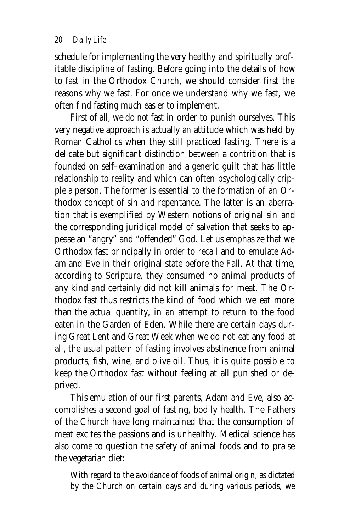schedule for implementing the very healthy and spiritually profitable discipline of fasting. Before going into the details of how to fast in the Orthodox Church, we should consider first the reasons why we fast. For once we understand why we fast, we often find fasting much easier to implement.

First of all, we do *not* fast in order to punish ourselves. This very negative approach is actually an attitude which was held by Roman Catholics when they still practiced fasting. There is a delicate but significant distinction between a contrition that is founded on self–examination and a generic guilt that has little relationship to reality and which can often psychologically cripple a person. The former is essential to the formation of an Orthodox concept of sin and repentance. The latter is an aberration that is exemplified by Western notions of original sin and the corresponding juridical model of salvation that seeks to appease an "angry" and "offended" God. Let us emphasize that we Orthodox fast principally in order to recall and to emulate Adam and Eve in their original state before the Fall. At that time, according to Scripture, they consumed no animal products of any kind and certainly did not kill animals for meat. The Orthodox fast thus restricts the kind of food which we eat more than the actual quantity, in an attempt to return to the food eaten in the Garden of Eden. While there are certain days during Great Lent and Great Week when we do not eat any food at all, the usual pattern of fasting involves abstinence from animal products, fish, wine, and olive oil. Thus, it is quite possible to keep the Orthodox fast without feeling at all punished or deprived.

This emulation of our first parents, Adam and Eve, also accomplishes a second goal of fasting, bodily health. The Fathers of the Church have long maintained that the consumption of meat excites the passions and is unhealthy. Medical science has also come to question the safety of animal foods and to praise the vegetarian diet:

With regard to the avoidance of foods of animal origin, as dictated by the Church on certain days and during various periods, we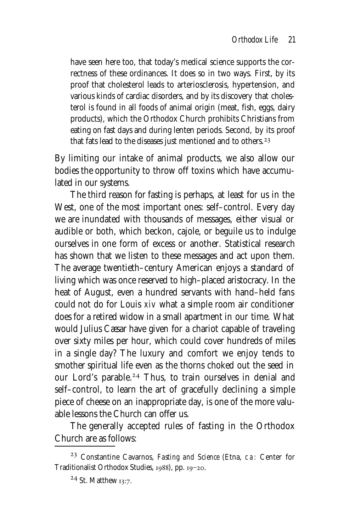have seen here too, that today's medical science supports the correctness of these ordinances. It does so in two ways. First, by its proof that cholesterol leads to arteriosclerosis, hypertension, and various kinds of cardiac disorders, and by its discovery that cholesterol is found in all foods of animal origin (meat, fish, eggs, dairy products), which the Orthodox Church prohibits Christians from eating on fast days and during lenten periods. Second, by its proof that fats lead to the diseases just mentioned and to others.

By limiting our intake of animal products, we also allow our bodies the opportunity to throw off toxins which have accumulated in our systems.

The third reason for fasting is perhaps, at least for us in the West, one of the most important ones: self–control. Every day we are inundated with thousands of messages, either visual or audible or both, which beckon, cajole, or beguile us to indulge ourselves in one form of excess or another. Statistical research has shown that we listen to these messages and act upon them. The average twentieth–century American enjoys a standard of living which was once reserved to high–placed aristocracy. In the heat of August, even a hundred servants with hand–held fans could not do for Louis xiv what a simple room air conditioner does for a retired widow in a small apartment in our time. What would Julius Cæsar have given for a chariot capable of traveling over sixty miles per hour, which could cover hundreds of miles in a single day? The luxury and comfort we enjoy tends to smother spiritual life even as the thorns choked out the seed in our Lord's parable.<sup>24</sup> Thus, to train ourselves in denial and self–control, to learn the art of gracefully declining a simple piece of cheese on an inappropriate day, is one of the more valuable lessons the Church can offer us.

The generally accepted rules of fasting in the Orthodox Church are as follows:

Constantine Cavarnos, *Fasting and Science* (Etna, ca: Center for Traditionalist Orthodox Studies,  $1988$ , pp.  $19-20$ .

 $24$  St. Matthew 13:7.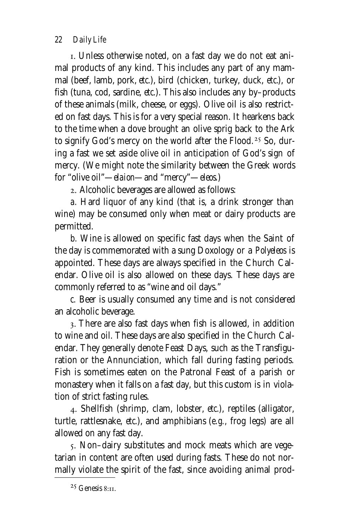*22 Daily Life*

. Unless otherwise noted, on a fast day we do not eat animal products of any kind. This includes any part of any mammal (beef, lamb, pork, *etc.*), bird (chicken, turkey, duck, *etc.*), or fish (tuna, cod, sardine, *etc.*). This also includes any by–products of these animals (milk, cheese, or eggs). Olive oil is also restricted on fast days. This is for a very special reason. It hearkens back to the time when a dove brought an olive sprig back to the Ark to signify God's mercy on the world after the Flood.<sup>25</sup> So, during a fast we set aside olive oil in anticipation of God's sign of mercy. (We might note the similarity between the Greek words for "olive oil"—*elaion*—and "mercy"—*eleos*.)

. Alcoholic beverages are allowed as follows:

*a.* Hard liquor of any kind (that is, a drink stronger than wine) may be consumed only when meat or dairy products are permitted.

*b.* Wine is allowed on specific fast days when the Saint of the day is commemorated with a sung Doxology or a *Polyeleos* is appointed. These days are always specified in the Church Calendar. Olive oil is also allowed on these days. These days are commonly referred to as "wine and oil days."

*c.* Beer is usually consumed any time and is not considered an alcoholic beverage.

. There are also fast days when fish is allowed, in addition to wine and oil. These days are also specified in the Church Calendar. They generally denote Feast Days, such as the Transfiguration or the Annunciation, which fall during fasting periods. Fish is sometimes eaten on the Patronal Feast of a parish or monastery when it falls on a fast day, but this custom is in violation of strict fasting rules.

. Shellfish (shrimp, clam, lobster, *etc.*), reptiles (alligator, turtle, rattlesnake, *etc.*), and amphibians (*e.g.,* frog legs) are all allowed on any fast day.

. Non–dairy substitutes and mock meats which are vegetarian in content are often used during fasts. These do not normally violate the spirit of the fast, since avoiding animal prod-

 $25$  Genesis 8:11.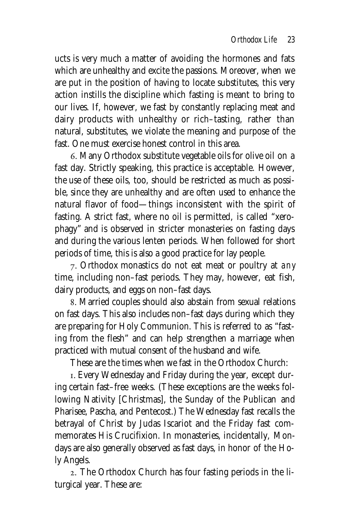ucts is very much a matter of avoiding the hormones and fats which are unhealthy and excite the passions. Moreover, when we are put in the position of having to locate substitutes, this very action instills the discipline which fasting is meant to bring to our lives. If, however, we fast by constantly replacing meat and dairy products with unhealthy or rich–tasting, rather than natural, substitutes, we violate the meaning and purpose of the fast. One must exercise honest control in this area.

. Many Orthodox substitute vegetable oils for olive oil on a fast day. Strictly speaking, this practice is acceptable. However, the use of these oils, too, should be restricted as much as possible, since they are unhealthy and are often used to enhance the natural flavor of food—things inconsistent with the spirit of fasting. A strict fast, where no oil is permitted, is called "xerophagy" and is observed in stricter monasteries on fasting days and during the various lenten periods. When followed for short periods of time, this is also a good practice for lay people.

. Orthodox monastics do not eat meat or poultry at *any* time, including non–fast periods. They may, however, eat fish, dairy products, and eggs on non–fast days.

. Married couples should also abstain from sexual relations on fast days. This also includes non–fast days during which they are preparing for Holy Communion. This is referred to as "fasting from the flesh" and can help strengthen a marriage when practiced with mutual consent of the husband and wife.

These are the times when we fast in the Orthodox Church:

. Every Wednesday and Friday during the year, except during certain fast–free weeks. (These exceptions are the weeks following Nativity [Christmas], the Sunday of the Publican and Pharisee, Pascha, and Pentecost.) The Wednesday fast recalls the betrayal of Christ by Judas Iscariot and the Friday fast commemorates His Crucifixion. In monasteries, incidentally, Mondays are also generally observed as fast days, in honor of the Holy Angels.

. The Orthodox Church has four fasting periods in the liturgical year. These are: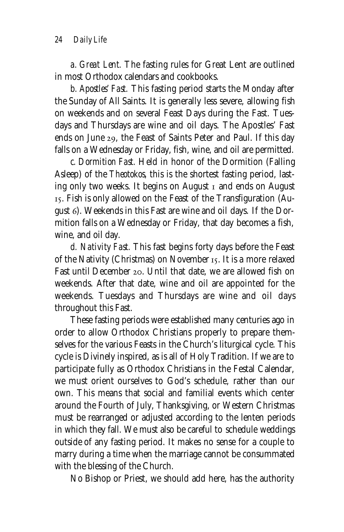*a. Great Lent.* The fasting rules for Great Lent are outlined in most Orthodox calendars and cookbooks.

*b. Apostles' Fast.* This fasting period starts the Monday after the Sunday of All Saints. It is generally less severe, allowing fish on weekends and on several Feast Days during the Fast. Tuesdays and Thursdays are wine and oil days. The Apostles' Fast ends on June 29, the Feast of Saints Peter and Paul. If this day falls on a Wednesday or Friday, fish, wine, and oil are permitted.

*c. Dormition Fast.* Held in honor of the Dormition (Falling Asleep) of the *Theotokos,* this is the shortest fasting period, lasting only two weeks. It begins on August  $I$  and ends on August . Fish is only allowed on the Feast of the Transfiguration (August 6). Weekends in this Fast are wine and oil days. If the Dormition falls on a Wednesday or Friday, that day becomes a fish, wine, and oil day.

*d. Nativity Fast.* This fast begins forty days before the Feast of the Nativity (Christmas) on November 15. It is a more relaxed Fast until December 20. Until that date, we are allowed fish on weekends. After that date, wine and oil are appointed for the weekends. Tuesdays and Thursdays are wine and oil days throughout this Fast.

These fasting periods were established many centuries ago in order to allow Orthodox Christians properly to prepare themselves for the various Feasts in the Church's liturgical cycle. This cycle is Divinely inspired, as is all of Holy Tradition. If we are to participate fully as Orthodox Christians in the Festal Calendar, we must orient ourselves to God's schedule, rather than our own. This means that social and familial events which center around the Fourth of July, Thanksgiving, or Western Christmas must be rearranged or adjusted according to the lenten periods in which they fall. We must also be careful to schedule weddings outside of any fasting period. It makes no sense for a couple to marry during a time when the marriage cannot be consummated with the blessing of the Church.

No Bishop or Priest, we should add here, has the authority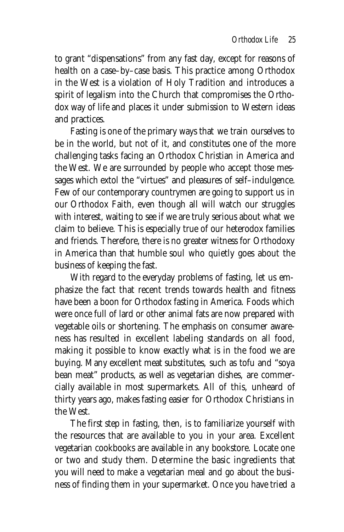to grant "dispensations" from any fast day, except for reasons of health on a case–by–case basis. This practice among Orthodox in the West is a violation of Holy Tradition and introduces a spirit of legalism into the Church that compromises the Orthodox way of life and places it under submission to Western ideas and practices.

Fasting is one of the primary ways that we train ourselves to be in the world, but not of it, and constitutes one of the more challenging tasks facing an Orthodox Christian in America and the West. We are surrounded by people who accept those messages which extol the "virtues" and pleasures of self–indulgence. Few of our contemporary countrymen are going to support us in our Orthodox Faith, even though all will watch our struggles with interest, waiting to see if we are truly serious about what we claim to believe. This is especially true of our heterodox families and friends. Therefore, there is no greater witness for Orthodoxy in America than that humble soul who quietly goes about the business of keeping the fast.

With regard to the everyday problems of fasting, let us emphasize the fact that recent trends towards health and fitness have been a boon for Orthodox fasting in America. Foods which were once full of lard or other animal fats are now prepared with vegetable oils or shortening. The emphasis on consumer awareness has resulted in excellent labeling standards on all food, making it possible to know exactly what is in the food we are buying. Many excellent meat substitutes, such as tofu and "soya bean meat" products, as well as vegetarian dishes, are commercially available in most supermarkets. All of this, unheard of thirty years ago, makes fasting easier for Orthodox Christians in the West.

The first step in fasting, then, is to familiarize yourself with the resources that are available to you in your area. Excellent vegetarian cookbooks are available in any bookstore. Locate one or two and study them. Determine the basic ingredients that you will need to make a vegetarian meal and go about the business of finding them in your supermarket. Once you have tried a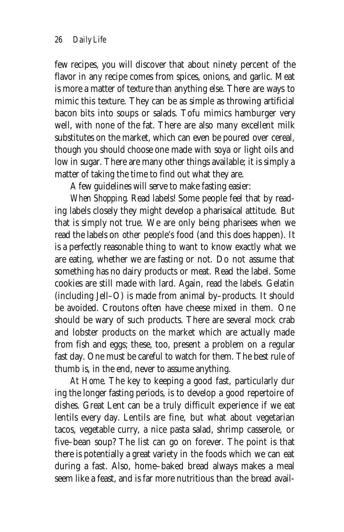few recipes, you will discover that about ninety percent of the flavor in any recipe comes from spices, onions, and garlic. Meat is more a matter of texture than anything else. There are ways to mimic this texture. They can be as simple as throwing artificial bacon bits into soups or salads. Tofu mimics hamburger very well, with none of the fat. There are also many excellent milk substitutes on the market, which can even be poured over cereal, though you should choose one made with soya or light oils and low in sugar. There are many other things available; it is simply a matter of taking the time to find out what they are.

A few guidelines will serve to make fasting easier:

*When Shopping.* Read labels! Some people feel that by reading labels closely they might develop a pharisaical attitude. But that is simply not true. We are only being pharisees when we read the labels on *other* people's food (and this does happen). It is a perfectly reasonable thing to want to know exactly what we are eating, whether we are fasting or not. Do not assume that something has no dairy products or meat. Read the label. Some cookies are still made with lard. Again, read the labels. Gelatin (including Jell–O) is made from animal by–products. It should be avoided. Croutons often have cheese mixed in them. One should be wary of such products. There are several mock crab and lobster products on the market which are actually made from fish and eggs; these, too, present a problem on a regular fast day. One must be careful to watch for them. The best rule of thumb is, in the end, never to assume anything.

*At Home.* The key to keeping a good fast, particularly dur ing the longer fasting periods, is to develop a good repertoire of dishes. Great Lent can be a truly difficult experience if we eat lentils every day. Lentils are fine, but what about vegetarian tacos, vegetable curry, a nice pasta salad, shrimp casserole, or five–bean soup? The list can go on forever. The point is that there is potentially a great variety in the foods which we can eat during a fast. Also, home–baked bread always makes a meal seem like a feast, and is far more nutritious than the bread avail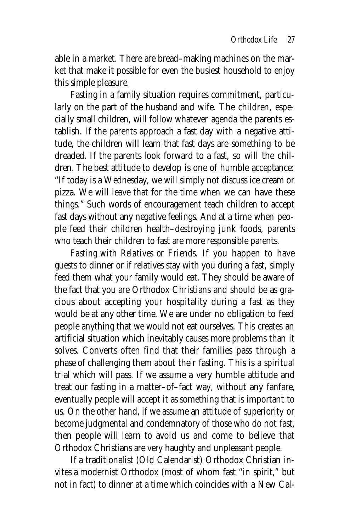able in a market. There are bread–making machines on the market that make it possible for even the busiest household to enjoy this simple pleasure.

Fasting in a family situation requires commitment, particularly on the part of the husband and wife. The children, especially small children, will follow whatever agenda the parents establish. If the parents approach a fast day with a negative attitude, the children will learn that fast days are something to be dreaded. If the parents look forward to a fast, so will the children. The best attitude to develop is one of humble acceptance: "If today is a Wednesday, we will simply not discuss ice cream or pizza. We will leave that for the time when we can have these things." Such words of encouragement teach children to accept fast days without any negative feelings. And at a time when people feed their children health–destroying junk foods, parents who teach their children to fast are more responsible parents.

*Fasting with Relatives or Friends.* If you happen to have guests to dinner or if relatives stay with you during a fast, simply feed them what your family would eat. They should be aware of the fact that you are Orthodox Christians and should be as gracious about accepting your hospitality during a fast as they would be at any other time. We are under no obligation to feed people anything that we would not eat ourselves. This creates an artificial situation which inevitably causes more problems than it solves. Converts often find that their families pass through a phase of challenging them about their fasting. This is a spiritual trial which will pass. If we assume a very humble attitude and treat our fasting in a matter–of–fact way, without any fanfare, eventually people will accept it as something that is important to us. On the other hand, if we assume an attitude of superiority or become judgmental and condemnatory of those who do not fast, then people will learn to avoid us and come to believe that Orthodox Christians are very haughty and unpleasant people.

If a traditionalist (Old Calendarist) Orthodox Christian invites a modernist Orthodox (most of whom fast "in spirit," but not in fact) to dinner at a time which coincides with a New Cal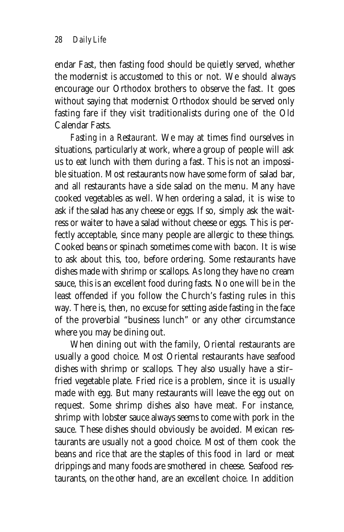endar Fast, then fasting food should be quietly served, whether the modernist is accustomed to this or not. We should always encourage our Orthodox brothers to observe the fast. It goes without saying that modernist Orthodox should be served only fasting fare if they visit traditionalists during one of the Old Calendar Fasts.

*Fasting in a Restaurant.* We may at times find ourselves in situations, particularly at work, where a group of people will ask us to eat lunch with them during a fast. This is not an impossible situation. Most restaurants now have some form of salad bar, and all restaurants have a side salad on the menu. Many have cooked vegetables as well. When ordering a salad, it is wise to ask if the salad has any cheese or eggs. If so, simply ask the waitress or waiter to have a salad without cheese or eggs. This is perfectly acceptable, since many people are allergic to these things. Cooked beans or spinach sometimes come with bacon. It is wise to ask about this, too, before ordering. Some restaurants have dishes made with shrimp or scallops. As long they have no cream sauce, this is an excellent food during fasts. No one will be in the least offended if you follow the Church's fasting rules in this way. There is, then, no excuse for setting aside fasting in the face of the proverbial "business lunch" or any other circumstance where you may be dining out.

When dining out with the family, Oriental restaurants are usually a good choice. Most Oriental restaurants have seafood dishes with shrimp or scallops. They also usually have a stir– fried vegetable plate. Fried rice is a problem, since it is usually made with egg. But many restaurants will leave the egg out on request. Some shrimp dishes also have meat. For instance, shrimp with lobster sauce always seems to come with pork in the sauce. These dishes should obviously be avoided. Mexican restaurants are usually not a good choice. Most of them cook the beans and rice that are the staples of this food in lard or meat drippings and many foods are smothered in cheese. Seafood restaurants, on the other hand, are an excellent choice. In addition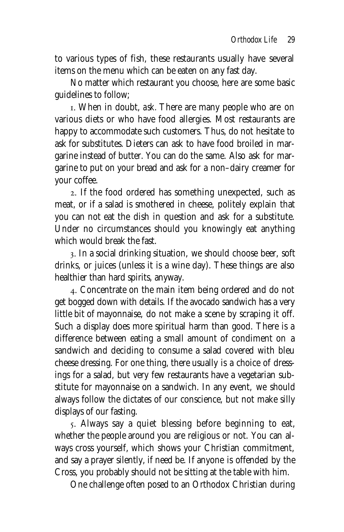to various types of fish, these restaurants usually have several items on the menu which can be eaten on any fast day.

No matter which restaurant you choose, here are some basic guidelines to follow;

. When in doubt, *ask.* There are many people who are on various diets or who have food allergies. Most restaurants are happy to accommodate such customers. Thus, do not hesitate to ask for substitutes. Dieters can ask to have food broiled in margarine instead of butter. You can do the same. Also ask for margarine to put on your bread and ask for a non–dairy creamer for your coffee.

. If the food ordered has something unexpected, such as meat, or if a salad is smothered in cheese, politely explain that you can not eat the dish in question and ask for a substitute. Under no circumstances should you knowingly eat anything which would break the fast.

. In a social drinking situation, we should choose beer, soft drinks, or juices (unless it is a wine day). These things are also healthier than hard spirits, anyway.

. Concentrate on the main item being ordered and do not get bogged down with details. If the avocado sandwich has a very little bit of mayonnaise, do not make a scene by scraping it off. Such a display does more spiritual harm than good. There is a difference between eating a small amount of condiment on a sandwich and deciding to consume a salad covered with bleu cheese dressing. For one thing, there usually is a choice of dressings for a salad, but very few restaurants have a vegetarian substitute for mayonnaise on a sandwich. In any event, we should always follow the dictates of our conscience, but not make silly displays of our fasting.

. Always say a quiet blessing before beginning to eat, whether the people around you are religious or not. You can always cross yourself, which shows your Christian commitment, and say a prayer silently, if need be. If anyone is offended by the Cross, you probably should not be sitting at the table with him.

One challenge often posed to an Orthodox Christian during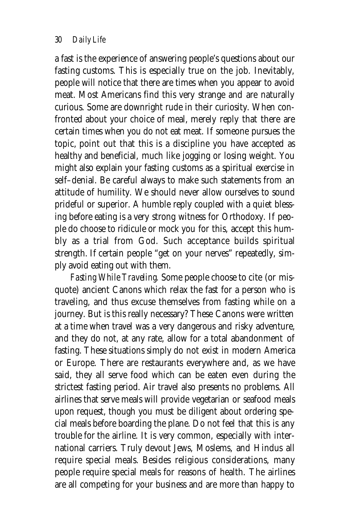a fast is the experience of answering people's questions about our fasting customs. This is especially true on the job. Inevitably, people will notice that there are times when you appear to avoid meat. Most Americans find this very strange and are naturally curious. Some are downright rude in their curiosity. When confronted about your choice of meal, merely reply that there are certain times when you do not eat meat. If someone pursues the topic, point out that this is a discipline you have accepted as healthy and beneficial, much like jogging or losing weight. You might also explain your fasting customs as a spiritual exercise in self–denial. Be careful always to make such statements from an attitude of humility. We should never allow ourselves to sound prideful or superior. A humble reply coupled with a quiet blessing before eating is a very strong witness for Orthodoxy. If people do choose to ridicule or mock you for this, accept this humbly as a trial from God. Such acceptance builds spiritual strength. If certain people "get on your nerves" repeatedly, simply avoid eating out with them.

*Fasting While Traveling.* Some people choose to cite (or misquote) ancient Canons which relax the fast for a person who is traveling, and thus excuse themselves from fasting while on a journey. But is this really necessary? These Canons were written at a time when travel was a very dangerous and risky adventure, and they do not, at any rate, allow for a total abandonment of fasting. These situations simply do not exist in modern America or Europe. There are restaurants everywhere and, as we have said, they all serve food which can be eaten even during the strictest fasting period. Air travel also presents no problems. All airlines that serve meals will provide vegetarian or seafood meals upon request, though you must be diligent about ordering special meals before boarding the plane. Do not feel that this is any trouble for the airline. It is very common, especially with international carriers. Truly devout Jews, Moslems, and Hindus all require special meals. Besides religious considerations, many people require special meals for reasons of health. The airlines are all competing for your business and are more than happy to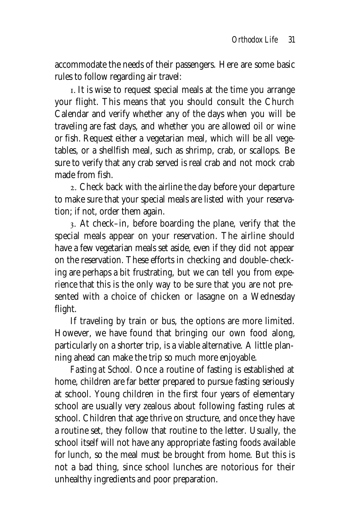accommodate the needs of their passengers. Here are some basic rules to follow regarding air travel:

. It is wise to request special meals at the time you arrange your flight. This means that you should consult the Church Calendar and verify whether any of the days when you will be traveling are fast days, and whether you are allowed oil or wine or fish. Request either a vegetarian meal, which will be all vegetables, or a shellfish meal, such as shrimp, crab, or scallops. Be sure to verify that any crab served is real crab and not mock crab made from fish.

. Check back with the airline the day before your departure to make sure that your special meals are listed with your reservation; if not, order them again.

. At check–in, before boarding the plane, verify that the special meals appear on your reservation. The airline should have a few vegetarian meals set aside, even if they did not appear on the reservation. These efforts in checking and double–checking are perhaps a bit frustrating, but we can tell you from experience that this is the only way to be sure that you are not presented with a choice of chicken or lasagne on a Wednesday flight.

If traveling by train or bus, the options are more limited. However, we have found that bringing our own food along, particularly on a shorter trip, is a viable alternative. A little planning ahead can make the trip so much more enjoyable.

*Fasting at School.* Once a routine of fasting is established at home, children are far better prepared to pursue fasting seriously at school. Young children in the first four years of elementary school are usually very zealous about following fasting rules at school. Children that age thrive on structure, and once they have a routine set, they follow that routine to the letter. Usually, the school itself will not have any appropriate fasting foods available for lunch, so the meal must be brought from home. But this is not a bad thing, since school lunches are notorious for their unhealthy ingredients and poor preparation.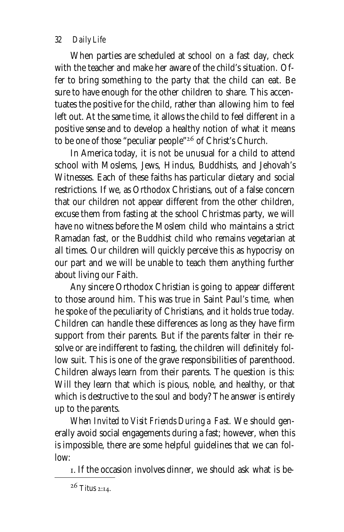### *32 Daily Life*

When parties are scheduled at school on a fast day, check with the teacher and make her aware of the child's situation. Offer to bring something to the party that the child can eat. Be sure to have enough for the other children to share. This accentuates the positive for the child, rather than allowing him to feel left out. At the same time, it allows the child to feel different in a positive sense and to develop a healthy notion of what it means to be one of those "peculiar people"<sup>26</sup> of Christ's Church.

In America today, it is not be unusual for a child to attend school with Moslems, Jews, Hindus, Buddhists, and Jehovah's Witnesses. Each of these faiths has particular dietary and social restrictions. If we, as Orthodox Christians, out of a false concern that our children not appear different from the other children, excuse them from fasting at the school Christmas party, we will have no witness before the Moslem child who maintains a strict Ramadan fast, or the Buddhist child who remains vegetarian at all times. Our children will quickly perceive this as hypocrisy on our part and we will be unable to teach them anything further about living our Faith.

Any sincere Orthodox Christian is going to appear different to those around him. This was true in Saint Paul's time, when he spoke of the peculiarity of Christians, and it holds true today. Children can handle these differences as long as they have firm support from their parents. But if the parents falter in their resolve or are indifferent to fasting, the children will definitely follow suit. This is one of the grave responsibilities of parenthood. Children always learn from their parents. The question is this: Will they learn that which is pious, noble, and healthy, or that which is destructive to the soul and body? The answer is entirely up to the parents.

*When Invited to Visit Friends During a Fast.* We should generally avoid social engagements during a fast; however, when this is impossible, there are some helpful guidelines that we can follow:

. If the occasion involves dinner, we should ask what is be-

 $26$  Titus 2:14.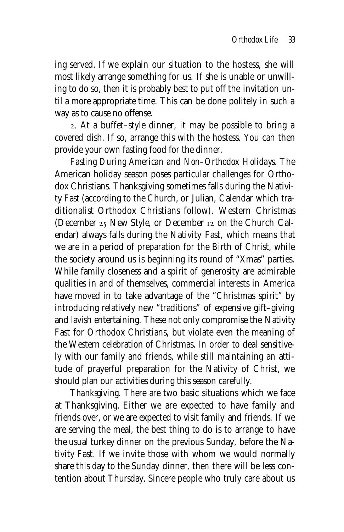ing served. If we explain our situation to the hostess, she will most likely arrange something for us. If she is unable or unwilling to do so, then it is probably best to put off the invitation until a more appropriate time. This can be done politely in such a way as to cause no offense.

. At a buffet–style dinner, it may be possible to bring a covered dish. If so, arrange this with the hostess. You can then provide your own fasting food for the dinner.

*Fasting During American and Non–Orthodox Holidays.* The American holiday season poses particular challenges for Orthodox Christians. Thanksgiving sometimes falls during the Nativity Fast (according to the Church, or Julian, Calendar which traditionalist Orthodox Christians follow). Western Christmas (December  $25$  New Style, or December  $12$  on the Church Calendar) always falls during the Nativity Fast, which means that we are in a period of preparation for the Birth of Christ, while the society around us is beginning its round of "Xmas" parties. While family closeness and a spirit of generosity are admirable qualities in and of themselves, commercial interests in America have moved in to take advantage of the "Christmas spirit" by introducing relatively new "traditions" of expensive gift–giving and lavish entertaining. These not only compromise the Nativity Fast for Orthodox Christians, but violate even the meaning of the Western celebration of Christmas. In order to deal sensitively with our family and friends, while still maintaining an attitude of prayerful preparation for the Nativity of Christ, we should plan our activities during this season carefully.

*Thanksgiving.* There are two basic situations which we face at Thanksgiving. Either we are expected to have family and friends over, or we are expected to visit family and friends. If we are serving the meal, the best thing to do is to arrange to have the usual turkey dinner on the previous Sunday, before the Nativity Fast. If we invite those with whom we would normally share this day to the Sunday dinner, then there will be less contention about Thursday. Sincere people who truly care about us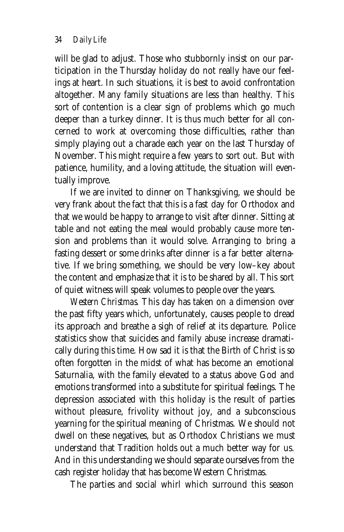will be glad to adjust. Those who stubbornly insist on our participation in the Thursday holiday do not really have our feelings at heart. In such situations, it is best to avoid confrontation altogether. Many family situations are less than healthy. This sort of contention is a clear sign of problems which go much deeper than a turkey dinner. It is thus much better for all concerned to work at overcoming those difficulties, rather than simply playing out a charade each year on the last Thursday of November. This might require a few years to sort out. But with patience, humility, and a loving attitude, the situation will eventually improve.

If we are invited to dinner on Thanksgiving, we should be very frank about the fact that this is a fast day for Orthodox and that we would be happy to arrange to visit after dinner. Sitting at table and not eating the meal would probably cause more tension and problems than it would solve. Arranging to bring a fasting dessert or some drinks after dinner is a far better alternative. If we bring something, we should be very low–key about the content and emphasize that it is to be shared by all. This sort of quiet witness will speak volumes to people over the years.

*Western Christmas.* This day has taken on a dimension over the past fifty years which, unfortunately, causes people to dread its approach and breathe a sigh of relief at its departure. Police statistics show that suicides and family abuse increase dramatically during this time. How sad it is that the Birth of Christ is so often forgotten in the midst of what has become an emotional Saturnalia, with the family elevated to a status above God and emotions transformed into a substitute for spiritual feelings. The depression associated with this holiday is the result of parties without pleasure, frivolity without joy, and a subconscious yearning for the spiritual meaning of Christmas. We should not dwell on these negatives, but as Orthodox Christians we must understand that Tradition holds out a much better way for us. And in this understanding we should separate ourselves from the cash register holiday that has become Western Christmas.

The parties and social whirl which surround this season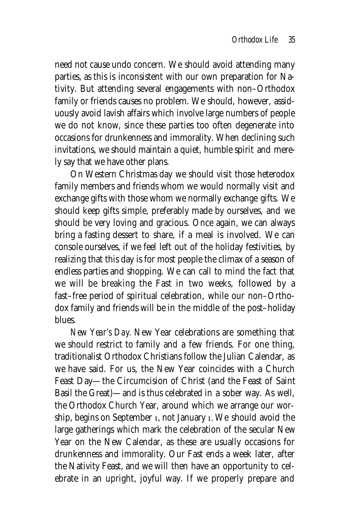need not cause undo concern. We should avoid attending many parties, as this is inconsistent with our own preparation for Nativity. But attending several engagements with non–Orthodox family or friends causes no problem. We should, however, assiduously avoid lavish affairs which involve large numbers of people we do not know, since these parties too often degenerate into occasions for drunkenness and immorality. When declining such invitations, we should maintain a quiet, humble spirit and merely say that we have other plans.

On Western Christmas day we should visit those heterodox family members and friends whom we would normally visit and exchange gifts with those whom we normally exchange gifts. We should keep gifts simple, preferably made by ourselves, and we should be very loving and gracious. Once again, we can always bring a fasting dessert to share, if a meal is involved. We can console ourselves, if we feel left out of the holiday festivities, by realizing that this day is for most people the climax of a season of endless parties and shopping. We can call to mind the fact that we will be breaking the Fast in two weeks, followed by a fast–free period of spiritual celebration, while our non–Orthodox family and friends will be in the middle of the post–holiday blues.

*New Year's Day.* New Year celebrations are something that we should restrict to family and a few friends. For one thing, traditionalist Orthodox Christians follow the Julian Calendar, as we have said. For us, the New Year coincides with a Church Feast Day—the Circumcision of Christ (and the Feast of Saint Basil the Great)—and is thus celebrated in a sober way. As well, the Orthodox Church Year, around which we arrange our worship, begins on September I, not January I. We should avoid the large gatherings which mark the celebration of the secular New Year on the New Calendar, as these are usually occasions for drunkenness and immorality. Our Fast ends a week later, after the Nativity Feast, and we will then have an opportunity to celebrate in an upright, joyful way. If we properly prepare and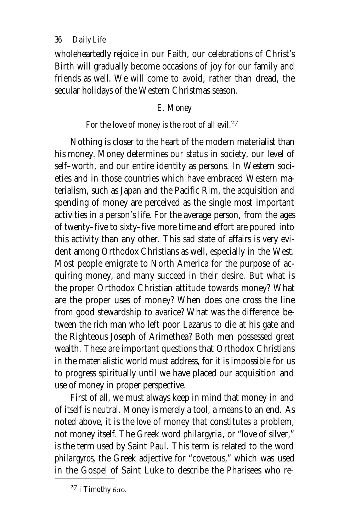## *36 Daily Life*

wholeheartedly rejoice in our Faith, our celebrations of Christ's Birth will gradually become occasions of joy for our family and friends as well. We will come to avoid, rather than dread, the secular holidays of the Western Christmas season.

# *E. Money*

# For the love of money is the root of all evil.<sup>27</sup>

Nothing is closer to the heart of the modern materialist than his money. Money determines our status in society, our level of self–worth, and our entire identity as persons. In Western societies and in those countries which have embraced Western materialism, such as Japan and the Pacific Rim, the acquisition and spending of money are perceived as the single most important activities in a person's life. For the average person, from the ages of twenty–five to sixty–five more time and effort are poured into this activity than any other. This sad state of affairs is very evident among Orthodox Christians as well, especially in the West. Most people emigrate to North America for the purpose of acquiring money, and many succeed in their desire. But what is the proper Orthodox Christian attitude towards money? What are the proper uses of money? When does one cross the line from good stewardship to avarice? What was the difference between the rich man who left poor Lazarus to die at his gate and the Righteous Joseph of Arimethea? Both men possessed great wealth. These are important questions that Orthodox Christians in the materialistic world must address, for it is impossible for us to progress spiritually until we have placed our acquisition and use of money in proper perspective.

First of all, we must always keep in mind that money in and of itself is neutral. Money is merely a tool, a means to an end. As noted above, it is the *love* of money that constitutes a problem, not money itself. The Greek word *philargyria*, or "love of silver," is the term used by Saint Paul. This term is related to the word *philargyros*, the Greek adjective for "covetous," which was used in the Gospel of Saint Luke to describe the Pharisees who re-

 $27$  i Timothy 6:10.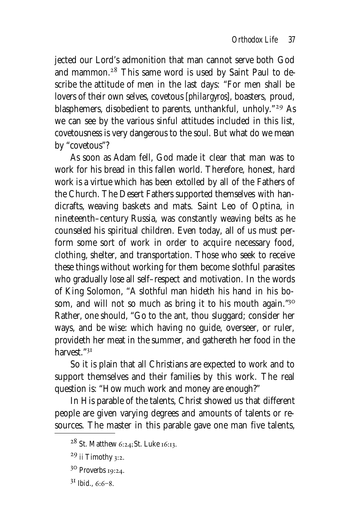jected our Lord's admonition that man cannot serve both God and mammon.<sup>28</sup> This same word is used by Saint Paul to describe the attitude of men in the last days: "For men shall be lovers of their own selves, covetous [*philargyros*], boasters, proud, blasphemers, disobedient to parents, unthankful, unholy."<sup>29</sup> As we can see by the various sinful attitudes included in this list, covetousness is very dangerous to the soul. But what do we mean by "covetous"?

As soon as Adam fell, God made it clear that man was to work for his bread in this fallen world. Therefore, honest, hard work is a virtue which has been extolled by all of the Fathers of the Church. The Desert Fathers supported themselves with handicrafts, weaving baskets and mats. Saint Leo of Optina, in nineteenth–century Russia, was constantly weaving belts as he counseled his spiritual children. Even today, all of us must perform some sort of work in order to acquire necessary food, clothing, shelter, and transportation. Those who seek to receive these things without working for them become slothful parasites who gradually lose all self–respect and motivation. In the words of King Solomon, "A slothful man hideth his hand in his bosom, and will not so much as bring it to his mouth again."30 Rather, one should, "Go to the ant, thou sluggard; consider her ways, and be wise: which having no guide, overseer, or ruler, provideth her meat in the summer, and gathereth her food in the harvest<sup>"31</sup>

So it is plain that all Christians are expected to work and to support themselves and their families by this work. The real question is: "How much work and money are enough?"

In His parable of the talents, Christ showed us that different people are given varying degrees and amounts of talents or resources. The master in this parable gave one man five talents,

 $28$  St. Matthew 6:24; St. Luke 16:13.

 $29$  ii Timothy 3:2.

<sup>30</sup> Proverbs 19:24.

 $3^1$  *Ibid.*  $6.6-8$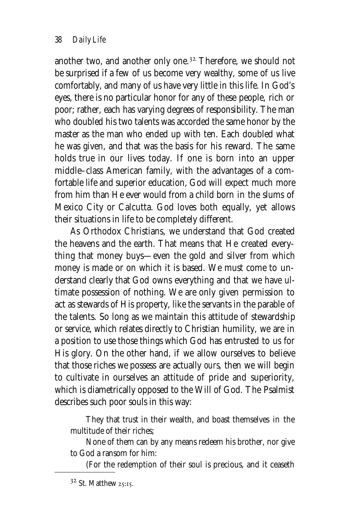another two, and another only one.<sup>32</sup> Therefore, we should not be surprised if a few of us become very wealthy, some of us live comfortably, and many of us have very little in this life. In God's eyes, there is no particular honor for any of these people, rich or poor; rather, each has varying degrees of responsibility. The man who doubled his two talents was accorded the same honor by the master as the man who ended up with ten. Each doubled what he was given, and that was the basis for his reward. The same holds true in our lives today. If one is born into an upper middle–class American family, with the advantages of a comfortable life and superior education, God will expect much more from him than He ever would from a child born in the slums of Mexico City or Calcutta. God loves both equally, yet allows their situations in life to be completely different.

As Orthodox Christians, we understand that God created the heavens and the earth. That means that He created everything that money buys—even the gold and silver from which money is made or on which it is based. We must come to understand clearly that God owns everything and that we have ultimate possession of nothing. We are only given permission to act as stewards of His property, like the servants in the parable of the talents. So long as we maintain this attitude of stewardship or service, which relates directly to Christian humility, we are in a position to use those things which God has entrusted to us for His glory. On the other hand, if we allow ourselves to believe that those riches we possess are actually *ours,* then we will begin to cultivate in ourselves an attitude of pride and superiority, which is diametrically opposed to the Will of God. The Psalmist describes such poor souls in this way:

They that trust in their wealth, and boast themselves in the multitude of their riches;

None of them can by any means redeem his brother, nor give to God a ransom for him:

(For the redemption of their soul is precious, and it ceaseth

 $32$  St. Matthew 25:15.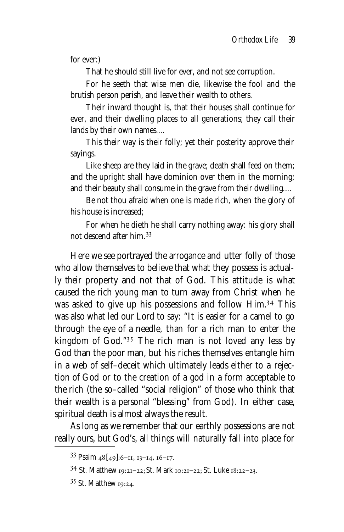for ever:)

That he should still live for ever, and not see corruption.

For he seeth that wise men die, likewise the fool and the brutish person perish, and leave their wealth to others.

Their inward thought is, that their houses shall continue for ever, and their dwelling places to all generations; they call their lands by their own names....

This their way is their folly; yet their posterity approve their sayings.

Like sheep are they laid in the grave; death shall feed on them; and the upright shall have dominion over them in the morning; and their beauty shall consume in the grave from their dwelling....

Be not thou afraid when one is made rich, when the glory of his house is increased;

For when he dieth he shall carry nothing away: his glory shall not descend after him.

Here we see portrayed the arrogance and utter folly of those who allow themselves to believe that what they possess is actually *their* property and not that of God. This attitude is what caused the rich young man to turn away from Christ when he was asked to give up his possessions and follow Him.<sup>34</sup> This was also what led our Lord to say: "It is easier for a camel to go through the eye of a needle, than for a rich man to enter the kingdom of God."<sup>35</sup> The rich man is not loved any less by God than the poor man, but his riches themselves entangle him in a web of self–deceit which ultimately leads either to a rejection of God or to the creation of a god in a form acceptable to the rich (the so–called "social religion" of those who think that their wealth is a personal "blessing" from God). In either case, spiritual death is almost always the result.

As long as we remember that our earthly possessions are not really ours, but God's, all things will naturally fall into place for

 $33$  Psalm  $48$  [ $49$ ]: 6–11, 13–14, 16–17.

<sup>&</sup>lt;sup>34</sup> St. Matthew 19:21-22; St. Mark 10:21-22; St. Luke 18:22-23.

<sup>35</sup> St. Matthew 19:24.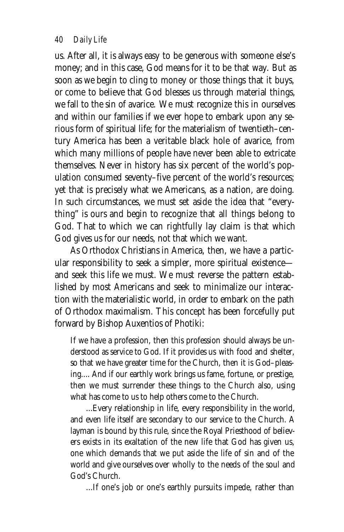*40 Daily Life*

us. After all, it is always easy to be generous with someone else's money; and in this case, God means for it to be that way. But as soon as we begin to cling to money or those things that it buys, or come to believe that God blesses us through material things, we fall to the sin of avarice. We must recognize this in ourselves and within our families if we ever hope to embark upon any serious form of spiritual life; for the materialism of twentieth–century America has been a veritable black hole of avarice, from which many millions of people have never been able to extricate themselves. Never in history has six percent of the world's population consumed seventy–five percent of the world's resources; yet that is precisely what we Americans, as a nation, are doing. In such circumstances, we must set aside the idea that "everything" is ours and begin to recognize that all things belong to God. That to which we can rightfully lay claim is that which God gives us for our needs, not that which we want.

As Orthodox Christians in America, then, we have a particular responsibility to seek a simpler, more spiritual existence and seek this life we must. We must reverse the pattern established by most Americans and seek to minimalize our interaction with the materialistic world, in order to embark on the path of Orthodox maximalism. This concept has been forcefully put forward by Bishop Auxentios of Photiki:

If we have a profession, then this profession should always be understood as service to God. If it provides us with food and shelter, so that we have greater time for the Church, then it is God–pleasing.... And if our earthly work brings us fame, fortune, or prestige, then we must surrender these things to the Church also, using what has come to us to help others come to the Church.

...Every relationship in life, every responsibility in the world, and even life itself are secondary to our service to the Church. A layman is bound by this rule, since the Royal Priesthood of believers exists in its exaltation of the new life that God has given us, one which demands that we put aside the life of sin and of the world and give ourselves over wholly to the needs of the soul and God's Church.

...If one's job or one's earthly pursuits impede, rather than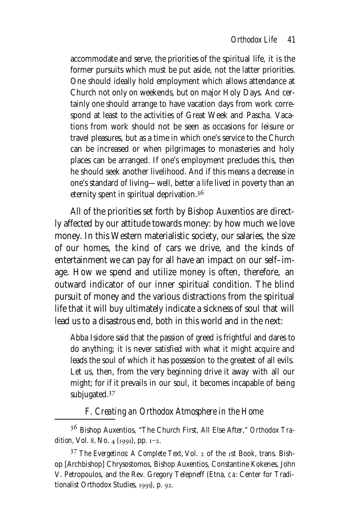accommodate and serve, the priorities of the spiritual life, it is the former pursuits which must be put aside, not the latter priorities. One should ideally hold employment which allows attendance at Church not only on weekends, but on major Holy Days. And certainly one should arrange to have vacation days from work correspond at least to the activities of Great Week and Pascha. Vacations from work should not be seen as occasions for leisure or travel pleasures, but as a time in which one's service to the Church can be increased or when pilgrimages to monasteries and holy places can be arranged. If one's employment precludes this, then he should seek another livelihood. And if this means a decrease in one's standard of living—well, better a life lived in poverty than an eternity spent in spiritual deprivation.

All of the priorities set forth by Bishop Auxentios are directly affected by our attitude towards money: by how much we love money. In this Western materialistic society, our salaries, the size of our homes, the kind of cars we drive, and the kinds of entertainment we can pay for all have an impact on our self–image. How we spend and utilize money is often, therefore, an outward indicator of our inner spiritual condition. The blind pursuit of money and the various distractions from the spiritual life that it will buy ultimately indicate a sickness of soul that will lead us to a disastrous end, both in this world and in the next:

Abba Isidore said that the passion of greed is frightful and dares to do anything; it is never satisfied with what it might acquire and leads the soul of which it has possession to the greatest of all evils. Let us, then, from the very beginning drive it away with all our might; for if it prevails in our soul, it becomes incapable of being subjugated.<sup>37</sup>

# *F. Creating an Orthodox Atmosphere in the Home*

 Bishop Auxentios, "The Church First, All Else After," *Orthodox Tradition*, Vol. 8, No. 4 (1991), pp. 1-2.

<sup>37</sup> The Evergetinos: A Complete Text, Vol. 2 of the 1st Book, trans. Bishop [Archbishop] Chrysostomos, Bishop Auxentios, Constantine Kokenes, John V. Petropoulos, and the Rev. Gregory Telepneff (Etna, ca: Center for Traditionalist Orthodox Studies, 1991), p. 92.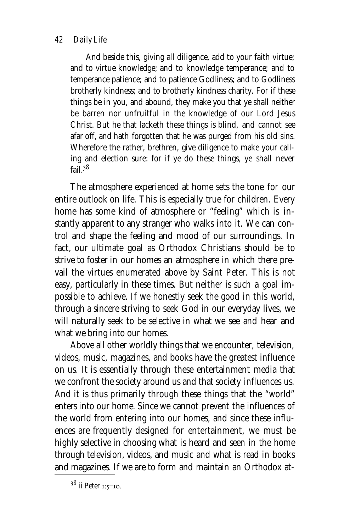#### *42 Daily Life*

And beside this, giving all diligence, add to your faith virtue; and to virtue knowledge; and to knowledge temperance; and to temperance patience; and to patience Godliness; and to Godliness brotherly kindness; and to brotherly kindness charity. For if these things be in you, and abound, they make you that ye shall neither be barren nor unfruitful in the knowledge of our Lord Jesus Christ. But he that lacketh these things is blind, and cannot see afar off, and hath forgotten that he was purged from his old sins. Wherefore the rather, brethren, give diligence to make your calling and election sure: for if ye do these things, ye shall never fail  $38$ 

The atmosphere experienced at home sets the tone for our entire outlook on life. This is especially true for children. Every home has some kind of atmosphere or "feeling" which is instantly apparent to any stranger who walks into it. We can control and shape the feeling and mood of our surroundings. In fact, our ultimate goal as Orthodox Christians should be to strive to foster in our homes an atmosphere in which there prevail the virtues enumerated above by Saint Peter. This is not easy, particularly in these times. But neither is such a goal impossible to achieve. If we honestly seek the good in this world, through a sincere striving to seek God in our everyday lives, we will naturally seek to be selective in what we see and hear and what we bring into our homes.

Above all other worldly things that we encounter, television, videos, music, magazines, and books have the greatest influence on us. It is essentially through these entertainment media that we confront the society around us and that society influences us. And it is thus primarily through these things that the "world" enters into our home. Since we cannot prevent the influences of the world from entering into our homes, and since these influences are frequently designed for entertainment, we must be highly selective in choosing what is heard and seen in the home through television, videos, and music and what is read in books and magazines. If we are to form and maintain an Orthodox at-

 $38$  ii Peter  $1:5-10$ .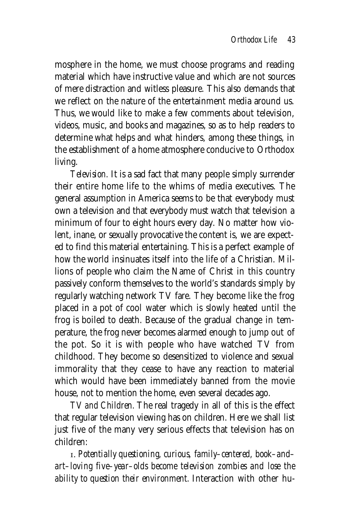mosphere in the home, we must choose programs and reading material which have instructive value and which are not sources of mere distraction and witless pleasure. This also demands that we reflect on the nature of the entertainment media around us. Thus, we would like to make a few comments about television, videos, music, and books and magazines, so as to help readers to determine what helps and what hinders, among these things, in the establishment of a home atmosphere conducive to Orthodox living.

*Television.* It is a sad fact that many people simply surrender their entire home life to the whims of media executives. The general assumption in America seems to be that everybody must own a television and that everybody must watch that television a minimum of four to eight hours every day. No matter how violent, inane, or sexually provocative the content is, we are expected to find this material entertaining. This is a perfect example of how the world insinuates itself into the life of a Christian. Millions of people who claim the Name of Christ in this country passively conform themselves to the world's standards simply by regularly watching network TV fare. They become like the frog placed in a pot of cool water which is slowly heated until the frog is boiled to death. Because of the gradual change in temperature, the frog never becomes alarmed enough to jump out of the pot. So it is with people who have watched TV from childhood. They become so desensitized to violence and sexual immorality that they cease to have any reaction to material which would have been immediately banned from the movie house, not to mention the home, even several decades ago.

*TV and Children.* The real tragedy in all of this is the effect that regular television viewing has on children. Here we shall list just five of the many very serious effects that television has on children:

. *Potentially questioning, curious, family–centered, book–and– art–loving five–year–olds become television zombies and lose the ability to question their environment.* Interaction with other hu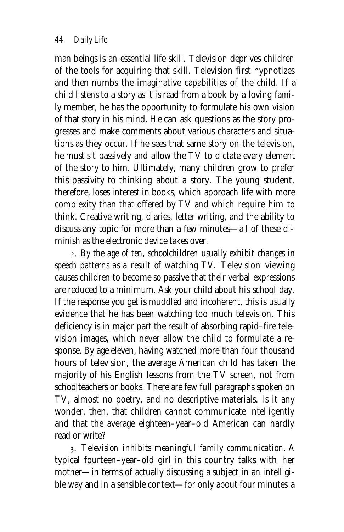man beings is an essential life skill. Television deprives children of the tools for acquiring that skill. Television first hypnotizes and then numbs the imaginative capabilities of the child. If a child listens to a story as it is read from a book by a loving family member, he has the opportunity to formulate his own vision of that story in his mind. He can ask questions as the story progresses and make comments about various characters and situations as they occur. If he sees that same story on the television, he must sit passively and allow the TV to dictate every element of the story to him. Ultimately, many children grow to prefer this passivity to thinking about a story. The young student, therefore, loses interest in books, which approach life with more complexity than that offered by TV and which require him to think. Creative writing, diaries, letter writing, and the ability to discuss any topic for more than a few minutes—all of these diminish as the electronic device takes over.

. *By the age of ten, schoolchildren usually exhibit changes in speech patterns as a result of watching TV.* Television viewing causes children to become so passive that their verbal expressions are reduced to a minimum. Ask your child about his school day. If the response you get is muddled and incoherent, this is usually evidence that he has been watching too much television. This deficiency is in major part the result of absorbing rapid–fire television images, which never allow the child to formulate a response. By age eleven, having watched more than four thousand hours of television, the average American child has taken the majority of his English lessons from the TV screen, not from schoolteachers or books. There are few full paragraphs spoken on TV, almost no poetry, and no descriptive materials. Is it any wonder, then, that children cannot communicate intelligently and that the average eighteen–year–old American can hardly read or write?

. *Television inhibits meaningful family communication.* A typical fourteen–year–old girl in this country talks with her mother—in terms of actually discussing a subject in an intelligible way and in a sensible context—for only about four minutes a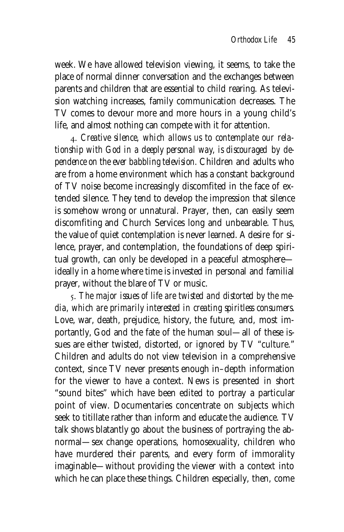week. We have allowed television viewing, it seems, to take the place of normal dinner conversation and the exchanges between parents and children that are essential to child rearing. As television watching increases, family communication decreases. The TV comes to devour more and more hours in a young child's life, and almost nothing can compete with it for attention.

. *Creative silence, which allows us to contemplate our relationship with God in a deeply personal way, is discouraged by dependence on the ever babbling television.* Children and adults who are from a home environment which has a constant background of TV noise become increasingly discomfited in the face of extended silence. They tend to develop the impression that silence is somehow wrong or unnatural. Prayer, then, can easily seem discomfiting and Church Services long and unbearable. Thus, the value of quiet contemplation is never learned. A desire for silence, prayer, and contemplation, the foundations of deep spiritual growth, can only be developed in a peaceful atmosphere ideally in a home where time is invested in personal and familial prayer, without the blare of TV or music.

. *The major issues of life are twisted and distorted by the media, which are primarily interested in creating spiritless consumers.* Love, war, death, prejudice, history, the future, and, most importantly, God and the fate of the human soul—all of these issues are either twisted, distorted, or ignored by TV "culture." Children and adults do not view television in a comprehensive context, since TV never presents enough in–depth information for the viewer to *have* a context. News is presented in short "sound bites" which have been edited to portray a particular point of view. Documentaries concentrate on subjects which seek to titillate rather than inform and educate the audience. TV talk shows blatantly go about the business of portraying the abnormal—sex change operations, homosexuality, children who have murdered their parents, and every form of immorality imaginable—without providing the viewer with a context into which he can place these things. Children especially, then, come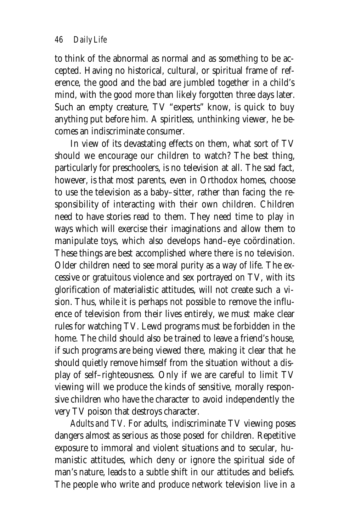to think of the abnormal as normal and as something to be accepted. Having no historical, cultural, or spiritual frame of reference, the good and the bad are jumbled together in a child's mind, with the good more than likely forgotten three days later. Such an empty creature, TV "experts" know, is quick to buy anything put before him. A spiritless, unthinking viewer, he becomes an indiscriminate consumer.

In view of its devastating effects on them, what sort of TV should we encourage our children to watch? The best thing, particularly for preschoolers, is no television at all. The sad fact, however, is that most parents, even in Orthodox homes, choose to use the television as a baby–sitter, rather than facing the responsibility of interacting with their own children. Children need to have stories read to them. They need time to play in ways which will exercise their imaginations and allow them to manipulate toys, which also develops hand–eye coördination. These things are best accomplished where there is no television. Older children need to see moral purity as a way of life. The excessive or gratuitous violence and sex portrayed on TV, with its glorification of materialistic attitudes, will not create such a vision. Thus, while it is perhaps not possible to remove the influence of television from their lives entirely, we must make clear rules for watching TV. Lewd programs must be forbidden in the home. The child should also be trained to leave a friend's house, if such programs are being viewed there, making it clear that he should quietly remove himself from the situation without a display of self–righteousness. Only if we are careful to limit TV viewing will we produce the kinds of sensitive, morally responsive children who have the character to avoid independently the very TV poison that destroys character.

*Adults and TV.* For adults, indiscriminate TV viewing poses dangers almost as serious as those posed for children. Repetitive exposure to immoral and violent situations and to secular, humanistic attitudes, which deny or ignore the spiritual side of man's nature, leads to a subtle shift in our attitudes and beliefs. The people who write and produce network television live in a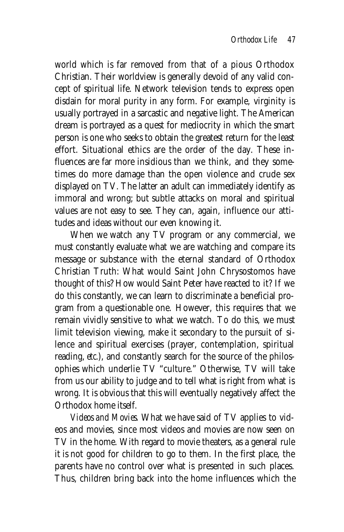world which is far removed from that of a pious Orthodox Christian. Their worldview is generally devoid of any valid concept of spiritual life. Network television tends to express open disdain for moral purity in any form. For example, virginity is usually portrayed in a sarcastic and negative light. The American dream is portrayed as a quest for mediocrity in which the smart person is one who seeks to obtain the greatest return for the least effort. Situational ethics are the order of the day. These influences are far more insidious than we think, and they sometimes do more damage than the open violence and crude sex displayed on TV. The latter an adult can immediately identify as immoral and wrong; but subtle attacks on moral and spiritual values are not easy to see. They can, again, influence our attitudes and ideas without our even knowing it.

When we watch any TV program or any commercial, we must constantly evaluate what we are watching and compare its message or substance with the eternal standard of Orthodox Christian Truth: What would Saint John Chrysostomos have thought of this? How would Saint Peter have reacted to it? If we do this constantly, we can learn to discriminate a beneficial program from a questionable one. However, this requires that we remain vividly sensitive to what we watch. To do this, we must limit television viewing, make it secondary to the pursuit of silence and spiritual exercises (prayer, contemplation, spiritual reading, *etc.*), and constantly search for the source of the philosophies which underlie TV "culture." Otherwise, TV will take from us our ability to judge and to tell what is right from what is wrong. It is obvious that this will eventually negatively affect the Orthodox home itself.

*Videos and Movies.* What we have said of TV applies to videos and movies, since most videos and movies are now seen on TV in the home. With regard to movie theaters, as a general rule it is not good for children to go to them. In the first place, the parents have no control over what is presented in such places. Thus, children bring back into the home influences which the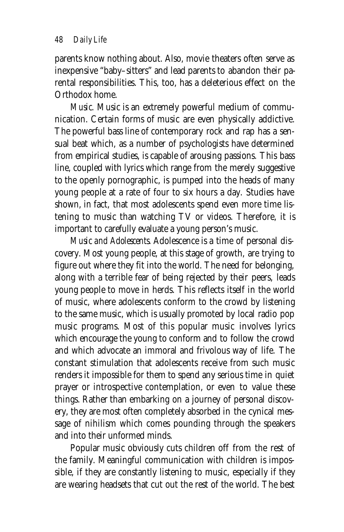parents know nothing about. Also, movie theaters often serve as inexpensive "baby–sitters" and lead parents to abandon their parental responsibilities. This, too, has a deleterious effect on the Orthodox home.

*Music.* Music is an extremely powerful medium of communication. Certain forms of music are even physically addictive. The powerful bass line of contemporary rock and rap has a sensual beat which, as a number of psychologists have determined from empirical studies, is capable of arousing passions. This bass line, coupled with lyrics which range from the merely suggestive to the openly pornographic, is pumped into the heads of many young people at a rate of four to six hours a day. Studies have shown, in fact, that most adolescents spend even more time listening to music than watching TV or videos. Therefore, it is important to carefully evaluate a young person's music.

*Music and Adolescents.* Adolescence is a time of personal discovery. Most young people, at this stage of growth, are trying to figure out where they fit into the world. The need for belonging, along with a terrible fear of being rejected by their peers, leads young people to move in herds. This reflects itself in the world of music, where adolescents conform to the crowd by listening to the same music, which is usually promoted by local radio pop music programs. Most of this popular music involves lyrics which encourage the young to conform and to follow the crowd and which advocate an immoral and frivolous way of life. The constant stimulation that adolescents receive from such music renders it impossible for them to spend any serious time in quiet prayer or introspective contemplation, or even to value these things. Rather than embarking on a journey of personal discovery, they are most often completely absorbed in the cynical message of nihilism which comes pounding through the speakers and into their unformed minds.

Popular music obviously cuts children off from the rest of the family. Meaningful communication with children is impossible, if they are constantly listening to music, especially if they are wearing headsets that cut out the rest of the world. The best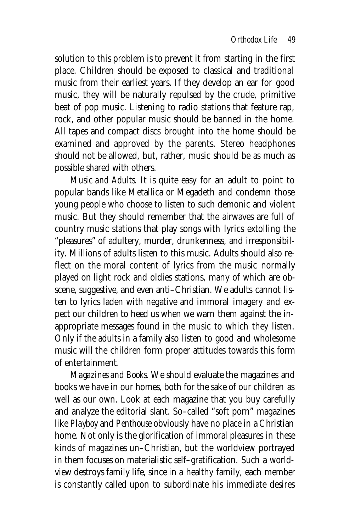solution to this problem is to prevent it from starting in the first place. Children should be exposed to classical and traditional music from their earliest years. If they develop an ear for good music, they will be naturally repulsed by the crude, primitive beat of pop music. Listening to radio stations that feature rap, rock, and other popular music should be banned in the home. All tapes and compact discs brought into the home should be examined and approved by the parents. Stereo headphones should not be allowed, but, rather, music should be as much as possible shared with others.

*Music and Adults.* It is quite easy for an adult to point to popular bands like Metallica or Megadeth and condemn those young people who choose to listen to such demonic and violent music. But they should remember that the airwaves are full of country music stations that play songs with lyrics extolling the "pleasures" of adultery, murder, drunkenness, and irresponsibility. Millions of adults listen to this music. Adults should also reflect on the moral content of lyrics from the music normally played on light rock and oldies stations, many of which are obscene, suggestive, and even anti–Christian. We adults cannot listen to lyrics laden with negative and immoral imagery and expect our children to heed us when we warn them against the inappropriate messages found in the music to which they listen. Only if the adults in a family also listen to good and wholesome music will the children form proper attitudes towards this form of entertainment.

*Magazines and Books.* We should evaluate the magazines and books we have in our homes, both for the sake of our children as well as our own. Look at each magazine that you buy carefully and analyze the editorial slant. So–called "soft porn" magazines like *Playboy* and *Penthouse* obviously have no place in a Christian home. Not only is the glorification of immoral pleasures in these kinds of magazines un–Christian, but the worldview portrayed in them focuses on materialistic self–gratification. Such a worldview destroys family life, since in a healthy family, each member is constantly called upon to subordinate his immediate desires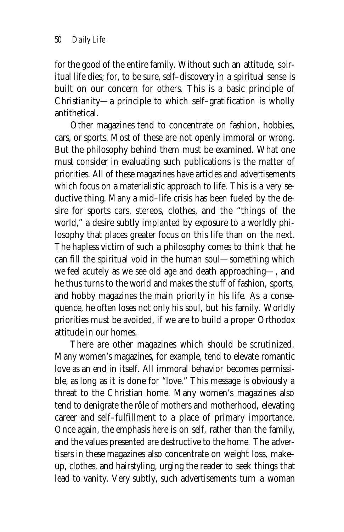for the good of the entire family. Without such an attitude, spiritual life dies; for, to be sure, self–discovery in a spiritual sense is built on our concern for others. This is a basic principle of Christianity—a principle to which self–gratification is wholly antithetical.

Other magazines tend to concentrate on fashion, hobbies, cars, or sports. Most of these are not openly immoral or wrong. But the philosophy behind them must be examined. What one must consider in evaluating such publications is the matter of priorities. All of these magazines have articles and advertisements which focus on a materialistic approach to life. This is a very seductive thing. Many a mid–life crisis has been fueled by the desire for sports cars, stereos, clothes, and the "things of the world," a desire subtly implanted by exposure to a worldly philosophy that places greater focus on this life than on the next. The hapless victim of such a philosophy comes to think that he can fill the spiritual void in the human soul—something which we feel acutely as we see old age and death approaching—, and he thus turns to the world and makes the stuff of fashion, sports, and hobby magazines the main priority in his life. As a consequence, he often loses not only his soul, but his family. Worldly priorities must be avoided, if we are to build a proper Orthodox attitude in our homes.

There are other magazines which should be scrutinized. Many women's magazines, for example, tend to elevate romantic love as an end in itself. All immoral behavior becomes permissible, as long as it is done for "love." This message is obviously a threat to the Christian home. Many women's magazines also tend to denigrate the rôle of mothers and motherhood, elevating career and self–fulfillment to a place of primary importance. Once again, the emphasis here is on self, rather than the family, and the values presented are destructive to the home. The advertisers in these magazines also concentrate on weight loss, make– up, clothes, and hairstyling, urging the reader to seek things that lead to vanity. Very subtly, such advertisements turn a woman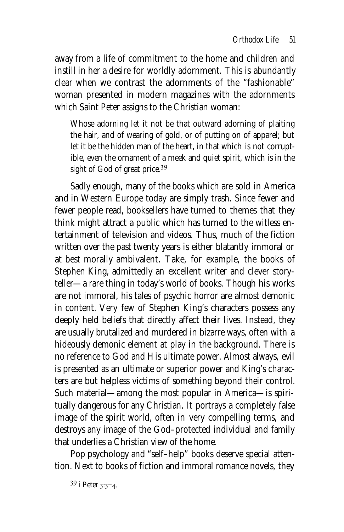away from a life of commitment to the home and children and instill in her a desire for worldly adornment. This is abundantly clear when we contrast the adornments of the "fashionable" woman presented in modern magazines with the adornments which Saint Peter assigns to the Christian woman:

Whose adorning let it not be that outward adorning of plaiting the hair, and of wearing of gold, or of putting on of apparel; but let it be the hidden man of the heart, in that which is not corruptible, even the ornament of a meek and quiet spirit, which is in the sight of God of great price.<sup>39</sup>

Sadly enough, many of the books which are sold in America and in Western Europe today are simply trash. Since fewer and fewer people read, booksellers have turned to themes that they think might attract a public which has turned to the witless entertainment of television and videos. Thus, much of the fiction written over the past twenty years is either blatantly immoral or at best morally ambivalent. Take, for example, the books of Stephen King, admittedly an excellent writer and clever storyteller—a rare thing in today's world of books. Though his works are not immoral, his tales of psychic horror are almost demonic in content. Very few of Stephen King's characters possess any deeply held beliefs that directly affect their lives. Instead, they are usually brutalized and murdered in bizarre ways, often with a hideously demonic element at play in the background. There is no reference to God and His ultimate power. Almost always, evil is presented as an ultimate or superior power and King's characters are but helpless victims of something beyond their control. Such material—among the most popular in America—is spiritually dangerous for any Christian. It portrays a completely false image of the spirit world, often in very compelling terms, and destroys any image of the God–protected individual and family that underlies a Christian view of the home.

Pop psychology and "self–help" books deserve special attention. Next to books of fiction and immoral romance novels, they

 $39$  i Peter 3:3-4.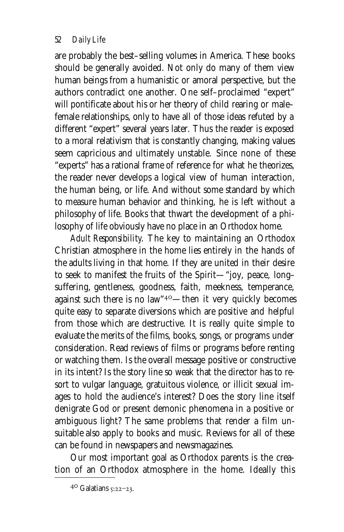are probably the best–selling volumes in America. These books should be generally avoided. Not only do many of them view human beings from a humanistic or amoral perspective, but the authors contradict one another. One self–proclaimed "expert" will pontificate about his or her theory of child rearing or male– female relationships, only to have all of those ideas refuted by a different "expert" several years later. Thus the reader is exposed to a moral relativism that is constantly changing, making values seem capricious and ultimately unstable. Since none of these "experts" has a rational frame of reference for what he theorizes, the reader never develops a logical view of human interaction, the human being, or life. And without some standard by which to measure human behavior and thinking, he is left without a philosophy of life. Books that thwart the development of a philosophy of life obviously have no place in an Orthodox home.

*Adult Responsibility.* The key to maintaining an Orthodox Christian atmosphere in the home lies entirely in the hands of the adults living in that home. If they are united in their desire to seek to manifest the fruits of the Spirit—"joy, peace, long– suffering, gentleness, goodness, faith, meekness, temperance, against such there is no law"<sup>40</sup>—then it very quickly becomes quite easy to separate diversions which are positive and helpful from those which are destructive. It is really quite simple to evaluate the merits of the films, books, songs, or programs under consideration. Read reviews of films or programs before renting or watching them. Is the overall message positive or constructive in its intent? Is the story line so weak that the director has to resort to vulgar language, gratuitous violence, or illicit sexual images to hold the audience's interest? Does the story line itself denigrate God or present demonic phenomena in a positive or ambiguous light? The same problems that render a film unsuitable also apply to books and music. Reviews for all of these can be found in newspapers and newsmagazines.

Our most important goal as Orthodox parents is the creation of an Orthodox atmosphere in the home. Ideally this

 $40$  Galatians  $5:22-23$ .